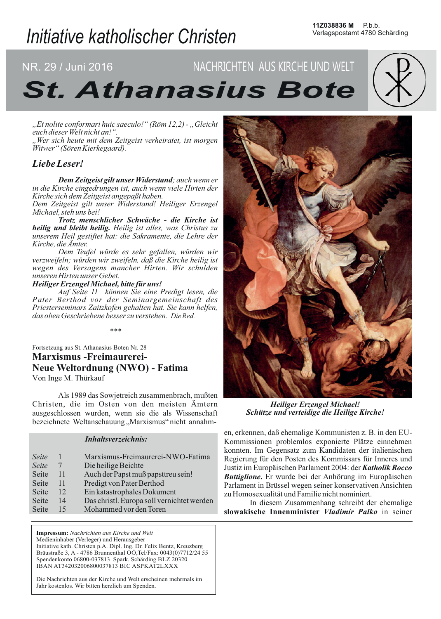# Initiative katholischer Christen

# NR. 29 / Juni 2016 NACHRICHTEN AUS KIRCHE UND WELT **St. Athanasius Bote**

"Et nolite conformari huic saeculo!" (Röm 12,2) - "Gleicht euch dieser Welt nicht an!".

"Wer sich heute mit dem Zeitgeist verheiratet, ist morgen Witwer" (Sören Kierkegaard).

# Liebe Leser!

Dem Zeitgeist gilt unser Widerstand; auch wenn er in die Kirche eingedrungen ist, auch wenn viele Hirten der Kirche sich dem Zeitgeist angepaßt haben.

Dem Zeitgeist gilt unser Widerstand! Heiliger Erzengel Michael, steh uns bei!

Trotz menschlicher Schwäche - die Kirche ist heilig und bleibt heilig. Heilig ist alles, was Christus zu unserem Heil gestiftet hat: die Sakramente, die Lehre der Kirche, die Ämter.

Dem Teufel würde es sehr gefallen, würden wir<br>verzweifeln; würden wir zweifeln, daß die Kirche heilig ist wegen des Versagens mancher Hirten. Wir schulden unseren Hirten unser Gebet.

Heiliger Erzengel Michael, bitte für uns!

Auf Seite 11 können Sie eine Predigt lesen, die Pater Berthod vor der Seminargemeinschaft des Priesterseminars Zaitzkofen gehalten hat. Sie kann helfen, das oben Geschriebene besser zu verstehen. Die Red.

 $***$ 

Fortsetzung aus St. Athanasius Boten Nr. 28 **Marxismus - Freimaurerei-Neue Weltordnung (NWO) - Fatima** Von Inge M. Thürkauf

Als 1989 das Sowjetreich zusammenbrach, mußten Christen, die im Osten von den meisten Ämtern ausgeschlossen wurden, wenn sie die als Wissenschaft bezeichnete Weltanschauung "Marxismus" nicht annahm-

#### **Inhaltsverzeichnis:**

| Seite        |    | Marxismus-Freimaurerei-NWO-Fatima          |
|--------------|----|--------------------------------------------|
| Seite        | 7  | Die heilige Beichte                        |
| Seite        | 11 | Auch der Papst muß papsttreu sein!         |
| Seite        | 11 | Predigt von Pater Berthod                  |
|              | 12 |                                            |
| <b>Seite</b> |    | Ein katastrophales Dokument                |
| Seite        | 14 | Das christl. Europa soll vernichtet werden |
| Seite        | 15 | Mohammed vor den Toren                     |

Impressum: Nachrichten aus Kirche und Welt Medieninhaber (Verleger) und Herausgeber Initiative kath. Christen p.A. Dipl. Ing. Dr. Felix Bentz, Kreuzberg Bräustraße 3, A - 4786 Brunnenthal OÖ, Tel/Fax: 0043(0)7712/24 55 Spendenkonto 06800-037813 Spark. Schärding BLZ 20320 IBAN AT342032006800037813 BIC ASPKAT2LXXX

Die Nachrichten aus der Kirche und Welt erscheinen mehrmals im Jahr kostenlos. Wir bitten herzlich um Spenden.



**Heiliger Erzengel Michael!** Schütze und verteidige die Heilige Kirche!

en, erkennen, daß ehemalige Kommunisten z. B. in den EU-Kommissionen problemlos exponierte Plätze einnehmen konnten. Im Gegensatz zum Kandidaten der italienischen Regierung für den Posten des Kommissars für Inneres und Justiz im Europäischen Parlament 2004: der Katholik Rocco **Buttiglione.** Er wurde bei der Anhörung im Europäischen Parlament in Brüssel wegen seiner konservativen Ansichten zu Homosexualität und Familie nicht nominiert.

In diesem Zusammenhang schreibt der ehemalige slowakische Innenminister Vladimír Palko in seiner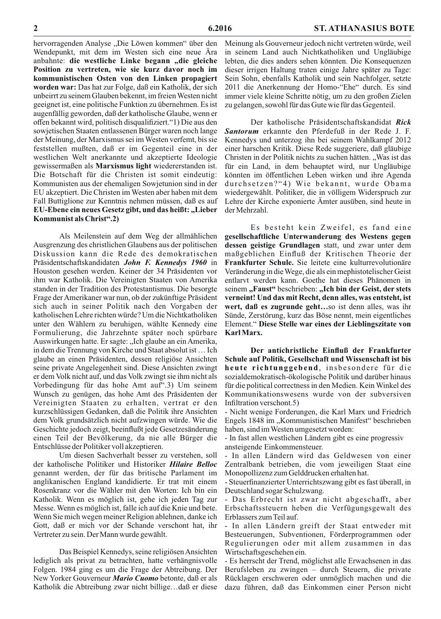hervorragenden Analyse "Die Löwen kommen" über den Wendepunkt, mit dem im Westen sich eine neue Ära anbahnte: die westliche Linke begann "die gleiche Position zu vertreten, wie sie kurz davor noch im kommunistischen Osten von den Linken propagiert worden war: Das hat zur Folge, daß ein Katholik, der sich unbeirrt zu seinem Glauben bekennt, im freien Westen nicht geeignet ist, eine politische Funktion zu übernehmen. Es ist augenfällig geworden, daß der katholische Glaube, wenn er offen bekannt wird, politisch disqualifiziert."1) Die aus den sowjetischen Staaten entlassenen Bürger waren noch lange der Meinung, der Marxismus sei im Westen verfemt, bis sie feststellen mußten, daß er im Gegenteil eine in der westlichen Welt anerkannte und akzeptierte Ideologie gewissermaßen als Marxismus light wiedererstanden ist. Die Botschaft für die Christen ist somit eindeutig: Kommunisten aus der ehemaligen Sowjetunion sind in der EU akzeptiert. Die Christen im Westen aber haben mit dem Fall Buttiglione zur Kenntnis nehmen müssen, daß es auf EU-Ebene ein neues Gesetz gibt, und das heißt: "Lieber Kommunist als Christ".2)

Als Meilenstein auf dem Weg der allmählichen Ausgrenzung des christlichen Glaubens aus der politischen Diskussion kann die Rede des demokratischen Präsidentschaftskandidaten John F. Kennedys 1960 in Houston gesehen werden. Keiner der 34 Präsidenten vor ihm war Katholik. Die Vereinigten Staaten von Amerika standen in der Tradition des Protestantismus. Die besorgte Frage der Amerikaner war nun, ob der zukünftige Präsident sich auch in seiner Politik nach den Vorgaben der katholischen Lehre richten würde? Um die Nichtkatholiken unter den Wählern zu beruhigen, wählte Kennedy eine Formulierung, die Jahrzehnte später noch spürbare Auswirkungen hatte. Er sagte: "Ich glaube an ein Amerika, in dem die Trennung von Kirche und Staat absolut ist... Ich glaube an einen Präsidenten, dessen religiöse Ansichten seine private Angelegenheit sind. Diese Ansichten zwingt er dem Volk nicht auf, und das Volk zwingt sie ihm nicht als Vorbedingung für das hohe Amt auf".3) Um seinem Wunsch zu genügen, das hohe Amt des Präsidenten der Vereinigten Staaten zu erhalten, vertrat er den kurzschlüssigen Gedanken, daß die Politik ihre Ansichten dem Volk grundsätzlich nicht aufzwingen würde. Wie die Geschichte jedoch zeigt, beeinflußt jede Gesetzesänderung einen Teil der Bevölkerung, da nie alle Bürger die Entschlüsse der Politiker voll akzeptieren.

Um diesen Sachverhalt besser zu verstehen, soll der katholische Politiker und Historiker Hilaire Belloc genannt werden, der für das britische Parlament im anglikanischen England kandidierte. Er trat mit einem Rosenkranz vor die Wähler mit den Worten: Ich bin ein Katholik. Wenn es möglich ist, gehe ich jeden Tag zur Messe. Wenn es möglich ist, falle ich auf die Knie und bete. Wenn Sie mich wegen meiner Religion ablehnen, danke ich Gott, daß er mich vor der Schande verschont hat, ihr Vertreter zu sein. Der Mann wurde gewählt.

Das Beispiel Kennedys, seine religiösen Ansichten lediglich als privat zu betrachten, hatte verhängnisvolle Folgen. 1984 ging es um die Frage der Abtreibung. Der New Yorker Gouverneur Mario Cuomo betonte, daß er als Katholik die Abtreibung zwar nicht billige...daß er diese

Meinung als Gouverneur jedoch nicht vertreten würde, weil in seinem Land auch Nichtkatholiken und Ungläubige lebten, die dies anders sehen könnten. Die Konsequenzen dieser irrigen Haltung traten einige Jahre später zu Tage: Sein Sohn, ebenfalls Katholik und sein Nachfolger, setzte 2011 die Anerkennung der Homo-"Ehe" durch. Es sind immer viele kleine Schritte nötig, um zu den großen Zielen zu gelangen, sowohl für das Gute wie für das Gegenteil.

Der katholische Präsidentschaftskandidat Rick Santorum erkannte den Pferdefuß in der Rede J. F. Kennedys und unterzog ihn bei seinem Wahlkampf 2012 einer harschen Kritik. Diese Rede suggeriere, daß gläubige Christen in der Politik nichts zu suchen hätten. "Was ist das für ein Land, in dem behauptet wird, nur Ungläubige könnten im öffentlichen Leben wirken und ihre Agenda durchsetzen?"4) Wie bekannt, wurde Obama wiedergewählt. Politiker, die in völligem Widerspruch zur Lehre der Kirche exponierte Ämter ausüben, sind heute in der Mehrzahl.

Es besteht kein Zweifel, es fand eine gesellschaftliche Unterwanderung des Westens gegen dessen geistige Grundlagen statt, und zwar unter dem maßgeblichen Einfluß der Kritischen Theorie der Frankfurter Schule. Sie leitete eine kulturrevolutionäre Veränderung in die Wege, die als ein mephistotelischer Geist entlarvt werden kann. Goethe hat dieses Phänomen in seinem "Faust" beschrieben: "Ich bin der Geist, der stets verneint! Und das mit Recht, denn alles, was entsteht, ist wert, daß es zugrunde geht...so ist denn alles, was ihr Sünde, Zerstörung, kurz das Böse nennt, mein eigentliches Element." Diese Stelle war eines der Lieblingszitate von Karl Marx.

Der antichristliche Einfluß der Frankfurter Schule auf Politik, Gesellschaft und Wissenschaft ist bis heute richtunggebend, insbesondere für die sozialdemokratisch-ökologische Politik und darüber hinaus für die political correctness in den Medien. Kein Winkel des Kommunikationswesens wurde von der subversiven Infiltration verschont.5)

- Nicht wenige Forderungen, die Karl Marx und Friedrich Engels 1848 im "Kommunistischen Manifest" beschrieben haben, sind im Westen umgesetzt worden:

- In fast allen westlichen Ländern gibt es eine progressiv ansteigende Einkommensteuer.

- In allen Ländern wird das Geldwesen von einer Zentralbank betrieben, die vom jeweiligen Staat eine Monopollizenz zum Gelddrucken erhalten hat.

- Steuerfinanzierter Unterrichtszwang gibt es fast überall, in Deutschland sogar Schulzwang.

- Das Erbrecht ist zwar nicht abgeschafft, aber Erbschaftssteuern heben die Verfügungsgewalt des Erblassers zum Teil auf.

- In allen Ländern greift der Staat entweder mit Besteuerungen, Subventionen, Förderprogrammen oder Regulierungen oder mit allem zusammen in das Wirtschaftsgeschehen ein.

- Es herrscht der Trend, möglichst alle Erwachsenen in das Berufsleben zu zwingen - durch Steuern, die private Rücklagen erschweren oder unmöglich machen und die dazu führen, daß das Einkommen einer Person nicht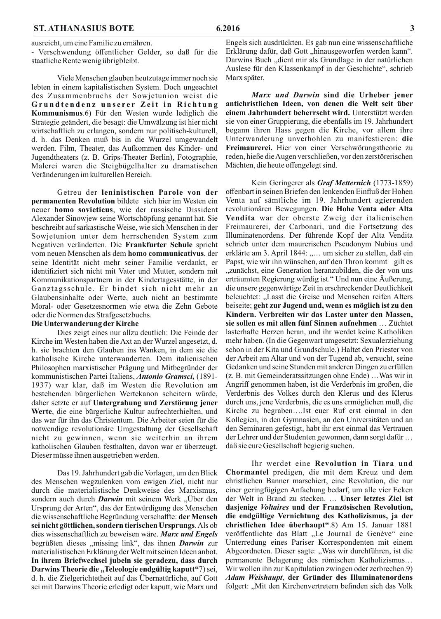ausreicht, um eine Familie zu ernähren.

- Verschwendung öffentlicher Gelder, so daß für die staatliche Rente wenig übrigbleibt.

Viele Menschen glauben heutzutage immer noch sie lebten in einem kapitalistischen System. Doch ungeachtet des Zusammenbruchs der Sowjetunion weist die Grundtendenz unserer Zeit in Richtung Kommunismus.6) Für den Westen wurde lediglich die Strategie geändert, die besagt: die Umwälzung ist hier nicht wirtschaftlich zu erlangen, sondern nur politisch-kulturell, d. h. das Denken muß bis in die Wurzel umgewandelt werden. Film, Theater, das Aufkommen des Kinder- und Jugendtheaters (z. B. Grips-Theater Berlin), Fotographie, Malerei waren die Steigbügelhalter zu dramatischen Veränderungen im kulturellen Bereich.

Getreu der leninistischen Parole von der permanenten Revolution bildete sich hier im Westen ein neuer homo sovieticus, wie der russische Dissident Alexander Sinowjew seine Wortschöpfung genannt hat. Sie beschreibt auf sarkastische Weise, wie sich Menschen in der Sowjetunion unter dem herrschenden System zum Negativen veränderten. Die Frankfurter Schule spricht vom neuen Menschen als dem homo communicativus, der seine Identität nicht mehr seiner Familie verdankt, er identifiziert sich nicht mit Vater und Mutter, sondern mit Kommunikationspartnern in der Kindertagesstätte, in der Ganztagsschule. Er bindet sich nicht mehr an Glaubensinhalte oder Werte, auch nicht an bestimmte Moral- oder Gesetzesnormen wie etwa die Zehn Gebote oder die Normen des Strafgesetzbuchs.

#### Die Unterwanderung der Kirche

Dies zeigt eines nur allzu deutlich: Die Feinde der Kirche im Westen haben die Axt an der Wurzel angesetzt, d. h. sie brachten den Glauben ins Wanken, in dem sie die katholische Kirche unterwanderten. Dem italienischen Philosophen marxistischer Prägung und Mitbegründer der kommunistischen Partei Italiens, Antonio Gramsci, (1891-1937) war klar, daß im Westen die Revolution am bestehenden bürgerlichen Wertekanon scheitern würde, daher setzte er auf Untergrabung und Zerstörung jener Werte, die eine bürgerliche Kultur aufrechterhielten, und das war für ihn das Christentum. Die Arbeiter seien für die notwendige revolutionäre Umgestaltung der Gesellschaft nicht zu gewinnen, wenn sie weiterhin an ihrem katholischen Glauben festhalten, davon war er überzeugt. Dieser müsse ihnen ausgetrieben werden.

Das 19. Jahrhundert gab die Vorlagen, um den Blick des Menschen wegzulenken vom ewigen Ziel, nicht nur durch die materialistische Denkweise des Marxismus, sondern auch durch *Darwin* mit seinem Werk "Über den Ursprung der Arten", das der Entwürdigung des Menschen die wissenschaftliche Begründung verschaffte: der Mensch sei nicht göttlichen, sondern tierischen Ursprungs. Als ob dies wissenschaftlich zu beweisen wäre. Marx und Engels begrüßten dieses "missing link", das ihnen Darwin zur materialistischen Erklärung der Welt mit seinen Ideen anbot. In ihrem Briefwechsel jubeln sie geradezu, dass durch Darwins Theorie die "Teleologie endgültig kaputt"7) sei, d. h. die Zielgerichtetheit auf das Übernatürliche, auf Gott sei mit Darwins Theorie erledigt oder kaputt, wie Marx und

Engels sich ausdrückten. Es gab nun eine wissenschaftliche Erklärung dafür, daß Gott "hinausgeworfen werden kann". Darwins Buch "dient mir als Grundlage in der natürlichen Auslese für den Klassenkampf in der Geschichte", schrieb Marx später.

Marx und Darwin sind die Urheber jener antichristlichen Ideen, von denen die Welt seit über einem Jahrhundert beherrscht wird. Unterstützt werden sie von einer Gruppierung, die ebenfalls im 19. Jahrhundert begann ihren Hass gegen die Kirche, vor allem ihre Unterwanderung unverhohlen zu manifestieren: die Freimaurerei. Hier von einer Verschwörungstheorie zu reden, hieße die Augen verschließen, vor den zerstörerischen Mächten, die heute offengelegt sind.

Kein Geringerer als Graf Metternich (1773-1859) offenbart in seinen Briefen den lenkenden Einfluß der Hohen Venta auf sämtliche im 19. Jahrhundert agierenden revolutionären Bewegungen. Die Hohe Venta oder Alta Vendita war der oberste Zweig der italienischen Freimaurerei, der Carbonari, und die Fortsetzung des Illuminatenordens. Der führende Kopf der Alta Vendita schrieb unter dem maurerischen Pseudonym Nubius und erklärte am 3. April 1844: "... um sicher zu stellen, daß ein Papst, wie wir ihn wünschen, auf den Thron kommt gilt es "zunächst, eine Generation heranzubilden, die der von uns erträumten Regierung würdig ist." Und nun eine Äußerung, die unsere gegenwärtige Zeit in erschreckender Deutlichkeit beleuchtet: "Lasst die Greise und Menschen reifen Alters beiseite; geht zur Jugend und, wenn es möglich ist zu den Kindern. Verbreiten wir das Laster unter den Massen. sie sollen es mit allen fünf Sinnen aufnehmen ... Züchtet lasterhafte Herzen heran, und ihr werdet keine Katholiken mehr haben. (In die Gegenwart umgesetzt: Sexualerziehung schon in der Kita und Grundschule.) Haltet den Priester von der Arbeit am Altar und von der Tugend ab, versucht, seine Gedanken und seine Stunden mit anderen Dingen zu erfüllen (z. B. mit Gemeinderatssitzungen ohne Ende) ... Was wir in Angriff genommen haben, ist die Verderbnis im großen, die Verderbnis des Volkes durch den Klerus und des Klerus durch uns, jene Verderbnis, die es uns ermöglichen muß, die Kirche zu begraben....Ist euer Ruf erst einmal in den Kollegien, in den Gymnasien, an den Universitäten und an den Seminaren gefestigt, habt ihr erst einmal das Vertrauen der Lehrer und der Studenten gewonnen, dann sorgt dafür ... daß sie eure Gesellschaft begierig suchen.

Ihr werdet eine Revolution in Tiara und Chormantel predigen, die mit dem Kreuz und dem christlichen Banner marschiert, eine Revolution, die nur einer geringfügigen Anfachung bedarf, um alle vier Ecken der Welt in Brand zu stecken. ... Unser letztes Ziel ist dasjenige Voltaires und der Französischen Revolution, die endgültige Vernichtung des Katholizismus, ja der christlichen Idee überhaupt".8) Am 15. Januar 1881 veröffentlichte das Blatt "Le Journal de Genève" eine Unterredung eines Pariser Korrespondenten mit einem Abgeordneten. Dieser sagte: "Was wir durchführen, ist die permanente Belagerung des römischen Katholizismus... Wir wollen ihn zur Kapitulation zwingen oder zerbrechen.9) Adam Weishaupt, der Gründer des Illuminatenordens folgert: "Mit den Kirchenvertretern befinden sich das Volk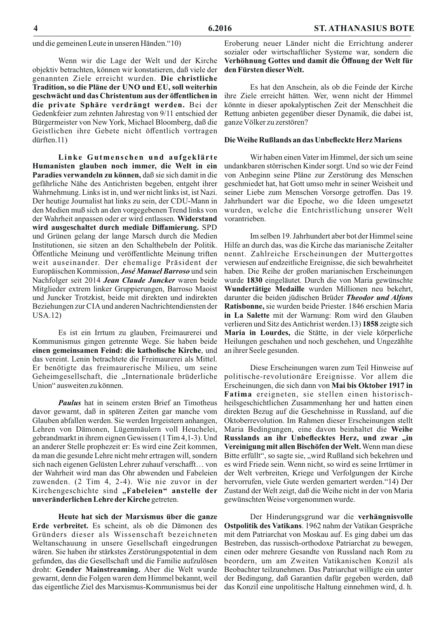und die gemeinen Leute in unseren Händen."10)

Wenn wir die Lage der Welt und der Kirche objektiv betrachten, können wir konstatieren, daß viele der genannten Ziele erreicht wurden. Die christliche Tradition, so die Pläne der UNO und EU, soll weiterhin geschwächt und das Christentum aus der öffentlichen in die private Sphäre verdrängt werden. Bei der Gedenkfeier zum zehnten Jahrestag von 9/11 entschied der Bürgermeister von New York, Michael Bloomberg, daß die Geistlichen ihre Gebete nicht öffentlich vortragen  $d$ ürften. $11)$ 

Linke Gutmenschen und aufgeklärte Humanisten glauben noch immer, die Welt in ein Paradies verwandeln zu können, daß sie sich damit in die gefährliche Nähe des Antichristen begeben, entgeht ihrer Wahrnehmung. Links ist in, und wer nicht links ist, ist Nazi. Der heutige Journalist hat links zu sein, der CDU-Mann in den Medien muß sich an den vorgegebenen Trend links von der Wahrheit anpassen oder er wird entlassen. Widerstand wird ausgeschaltet durch mediale Diffamierung. SPD und Grünen gelang der lange Marsch durch die Medien Institutionen, sie sitzen an den Schalthebeln der Politik. Öffentliche Meinung und veröffentlichte Meinung triften weit auseinander. Der ehemalige Präsident der Europäischen Kommission, José Manuel Barroso und sein Nachfolger seit 2014 Jean Claude Juncker waren beide Mitglieder extrem linker Gruppierungen, Barroso Maoist und Juncker Trotzkist, beide mit direkten und indirekten Beziehungen zur CIA und anderen Nachrichtendiensten der  $USA.12)$ 

Es ist ein Irrtum zu glauben, Freimaurerei und Kommunismus gingen getrennte Wege. Sie haben beide einen gemeinsamen Feind: die katholische Kirche, und das vereint. Lenin betrachtete die Freimaurerei als Mittel. Er benötigte das freimaurerische Milieu, um seine Geheimgesellschaft, die "Internationale brüderliche Union" ausweiten zu können.

**Paulus** hat in seinem ersten Brief an Timotheus davor gewarnt, daß in späteren Zeiten gar manche vom Glauben abfallen werden. Sie werden Irrgeistern anhangen, Lehren von Dämonen, Lügenmäulern voll Heuchelei, gebrandmarkt in ihrem eignen Gewissen (1 Tim 4,1-3). Und an anderer Stelle prophezeit er: Es wird eine Zeit kommen, da man die gesunde Lehre nicht mehr ertragen will, sondern sich nach eigenen Gelüsten Lehrer zuhauf verschafft... von der Wahrheit wird man das Ohr abwenden und Fabeleien zuwenden. (2 Tim 4, 2-4). Wie nie zuvor in der Kirchengeschichte sind "Fabeleien" anstelle der unveränderlichen Lehre der Kirche getreten.

Heute hat sich der Marxismus über die ganze Erde verbreitet. Es scheint, als ob die Dämonen des Gründers dieser als Wissenschaft bezeichneten Weltanschauung in unsere Gesellschaft eingedrungen wären. Sie haben ihr stärkstes Zerstörungspotential in dem gefunden, das die Gesellschaft und die Familie aufzulösen droht: Gender Mainstreaming. Aber die Welt wurde gewarnt, denn die Folgen waren dem Himmel bekannt, weil das eigentliche Ziel des Marxismus-Kommunismus bei der

Eroberung neuer Länder nicht die Errichtung anderer sozialer oder wirtschaftlicher Systeme war, sondern die Verhöhnung Gottes und damit die Öffnung der Welt für den Fürsten dieser Welt.

Es hat den Anschein, als ob die Feinde der Kirche ihre Ziele erreicht hätten. Wer, wenn nicht der Himmel könnte in dieser apokalyptischen Zeit der Menschheit die Rettung anbieten gegenüber dieser Dynamik, die dabei ist, ganze Völker zu zerstören?

#### Die Weihe Rußlands an das Unbefleckte Herz Mariens

Wir haben einen Vater im Himmel, der sich um seine undankbaren störrischen Kinder sorgt. Und so wie der Feind von Anbeginn seine Pläne zur Zerstörung des Menschen geschmiedet hat, hat Gott umso mehr in seiner Weisheit und seiner Liebe zum Menschen Vorsorge getroffen. Das 19. Jahrhundert war die Epoche, wo die Ideen umgesetzt wurden, welche die Entchristlichung unserer Welt vorantrieben.

Im selben 19. Jahrhundert aber bot der Himmel seine Hilfe an durch das, was die Kirche das marianische Zeitalter nennt. Zahlreiche Erscheinungen der Muttergottes verwiesen auf endzeitliche Ereignisse, die sich bewahrheitet haben. Die Reihe der großen marianischen Erscheinungen wurde 1830 eingeläutet. Durch die von Maria gewünschte Wundertätige Medaille wurden Millionen neu bekehrt, darunter die beiden jüdischen Brüder Theodor und Alfons Ratisbonne, sie wurden beide Priester. 1846 erschien Maria in La Salette mit der Warnung: Rom wird den Glauben verlieren und Sitz des Antichrist werden. 13) 1858 zeigte sich Maria in Lourdes, die Stätte, in der viele körperliche Heilungen geschahen und noch geschehen, und Ungezählte an ihrer Seele gesunden.

Diese Erscheinungen waren zum Teil Hinweise auf politische-revolutionäre Ereignisse. Vor allem die Erscheinungen, die sich dann von Mai bis Oktober 1917 in Fatima ereigneten, sie stellen einen historischheilsgeschichtlichen Zusammenhang her und hatten einen direkten Bezug auf die Geschehnisse in Russland, auf die Oktoberrevolution. Im Rahmen dieser Erscheinungen stellt Maria Bedingungen, eine davon beinhaltet die Weihe Russlands an ihr Unbeflecktes Herz, und zwar "in Vereinigung mit allen Bischöfen der Welt. Wenn man diese Bitte erfüllt", so sagte sie, "wird Rußland sich bekehren und es wird Friede sein. Wenn nicht, so wird es seine Irrtümer in der Welt verbreiten, Kriege und Verfolgungen der Kirche hervorrufen, viele Gute werden gemartert werden."14) Der Zustand der Welt zeigt, daß die Weihe nicht in der von Maria gewünschten Weise vorgenommen wurde.

Der Hinderungsgrund war die verhängnisvolle Ostpolitik des Vatikans. 1962 nahm der Vatikan Gespräche mit dem Patriarchat von Moskau auf. Es ging dabei um das Bestreben, das russisch-orthodoxe Patriarchat zu bewegen, einen oder mehrere Gesandte von Russland nach Rom zu beordern, um am Zweiten Vatikanischen Konzil als Beobachter teilzunehmen. Das Patriarchat willigte ein unter der Bedingung, daß Garantien dafür gegeben werden, daß das Konzil eine unpolitische Haltung einnehmen wird, d. h.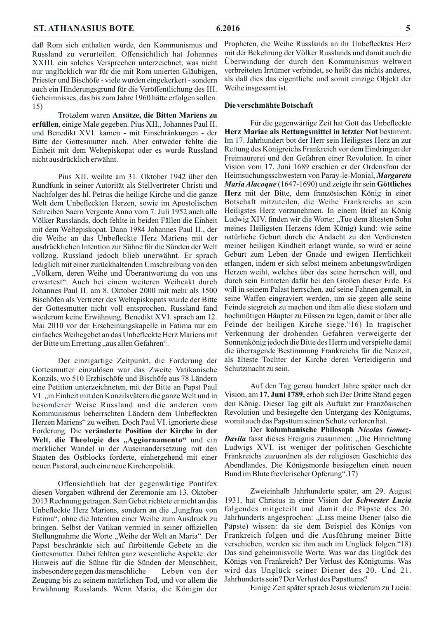daß Rom sich enthalten würde, den Kommunismus und Russland zu verurteilen. Offensichtlich hat Johannes XXIII. ein solches Versprechen unterzeichnet, was nicht nur unglücklich war für die mit Rom unierten Gläubigen, Priester und Bischöfe - viele wurden eingekerkert - sondern auch ein Hinderungsgrund für die Veröffentlichung des III. Geheimnisses, das bis zum Jahre 1960 hätte erfolgen sollen. 15)

Trotzdem waren Ansätze, die Bitten Mariens zu erfüllen, einige Male gegeben. Pius XII., Johannes Paul II. und Benedikt XVI. kamen - mit Einschränkungen - der Bitte der Gottesmutter nach. Aber entweder fehlte die Einheit mit dem Weltepiskopat oder es wurde Russland nicht ausdrücklich erwähnt.

Pius XII. weihte am 31. Oktober 1942 über den Rundfunk in seiner Autorität als Stellvertreter Christi und Nachfolger des hl. Petrus die heilige Kirche und die ganze Welt dem Unbefleckten Herzen, sowie im Apostolischen Schreiben Sacro Vergente Anno vom 7. Juli 1952 auch alle Völker Russlands, doch fehlte in beiden Fällen die Einheit mit dem Weltepiskopat. Dann 1984 Johannes Paul II., der die Weihe an das Unbefleckte Herz Mariens mit der ausdrücklichen Intention zur Sühne für die Sünden der Welt vollzog. Russland jedoch blieb unerwähnt. Er sprach lediglich mit einer zurückhaltenden Umschreibung von den "Völkern, deren Weihe und Überantwortung du von uns erwartest". Auch bei einem weiteren Weiheakt durch Johannes Paul II. am 8. Oktober 2000 mit mehr als 1500 Bischöfen als Vertreter des Weltepiskopats wurde der Bitte der Gottesmutter nicht voll entsprochen. Russland fand wiederum keine Erwähnung. Benedikt XVI. sprach am 12. Mai 2010 vor der Erscheinungskapelle in Fatima nur ein einfaches Weihegebet an das Unbefleckte Herz Mariens mit der Bitte um Errettung "aus allen Gefahren".

Der einzigartige Zeitpunkt, die Forderung der Gottesmutter einzulösen war das Zweite Vatikanische Konzils, wo 510 Erzbischöfe und Bischöfe aus 78 Ländern eine Petition unterzeichneten, mit der Bitte an Papst Paul VI., in Einheit mit den Konzilsvätern die ganze Welt und in besonderer Weise Russland und die anderen vom Kommunismus beherrschten Ländern dem Unbefleckten Herzen Mariens" zu weihen. Doch Paul VI. ignorierte diese Forderung. Die veränderte Position der Kirche in der Welt, die Theologie des "Aggiornamento" und ein merklicher Wandel in der Auseinandersetzung mit den Staaten des Ostblocks forderte, einhergehend mit einer neuen Pastoral, auch eine neue Kirchenpolitik.

Offensichtlich hat der gegenwärtige Pontifex diesen Vorgaben während der Zeremonie am 13. Oktober 2013 Rechnung getragen. Sein Gebet richtete er nicht an das Unbefleckte Herz Mariens, sondern an die "Jungfrau von Fatima", ohne die Intention einer Weihe zum Ausdruck zu bringen. Selbst der Vatikan vermied in seiner offiziellen Stellungnahme die Worte "Weihe der Welt an Maria". Der Papst beschränkte sich auf fürbittende Gebete an die Gottesmutter. Dabei fehlten ganz wesentliche Aspekte: der Hinweis auf die Sühne für die Sünden der Menschheit, insbesondere gegen das menschliche Leben von der Zeugung bis zu seinem natürlichen Tod, und vor allem die Erwähnung Russlands. Wenn Maria, die Königin der Propheten, die Weihe Russlands an ihr Unbeflecktes Herz mit der Bekehrung der Völker Russlands und damit auch die Überwindung der durch den Kommunismus weltweit verbreiteten Irrtümer verbindet, so heißt das nichts anderes, als daß dies das eigentliche und somit einzige Objekt der Weihe insgesamt ist.

#### Die verschmähte Botschaft

Für die gegenwärtige Zeit hat Gott das Unbefleckte Herz Mariae als Rettungsmittel in letzter Not bestimmt. Im 17. Jahrhundert bot der Herr sein Heiligstes Herz an zur Rettung des Königreichs Frankreich vor dem Eindringen der Freimaurerei und den Gefahren einer Revolution. In einer Vision vom 17. Juni 1689 erschien er der Ordensfrau der Heimsuchungsschwestern von Paray-le-Monial, Margareta Maria Alacoque (1647-1690) und zeigte ihr sein Göttliches Herz mit der Bitte, dem französischen König in einer Botschaft mitzuteilen, die Weihe Frankreichs an sein Heiligstes Herz vorzunehmen. In einem Brief an König Ludwig XIV. finden wir die Worte: "Tue dem ältesten Sohn meines Heiligsten Herzens (dem König) kund: wie seine natürliche Geburt durch die Andacht zu den Verdiensten meiner heiligen Kindheit erlangt wurde, so wird er seine Geburt zum Leben der Gnade und ewigen Herrlichkeit erlangen, indem er sich selbst meinem anbetungswürdigen Herzen weiht, welches über das seine herrschen will, und durch sein Eintreten dafür bei den Großen dieser Erde. Es will in seinem Palast herrschen, auf seine Fahnen gemalt, in seine Waffen eingraviert werden, um sie gegen alle seine Feinde siegreich zu machen und ihm alle diese stolzen und hochmütigen Häupter zu Füssen zu legen, damit er über alle Feinde der heiligen Kirche siege."16) In tragischer Verkennung der drohenden Gefahren verweigerte der Sonnenkönig jedoch die Bitte des Herrn und verspielte damit die überragende Bestimmung Frankreichs für die Neuzeit, als älteste Tochter der Kirche deren Verteidigerin und Schutzmacht zu sein.

Auf den Tag genau hundert Jahre später nach der Vision, am 17. Juni 1789, erhob sich Der Dritte Stand gegen den König. Dieser Tag gilt als Auftakt zur Französischen Revolution und besiegelte den Untergang des Königtums, womit auch das Papsttum seinen Schutz verloren hat.

Der kolumbanische Philosoph Nicolas Gomez-**Davila** fasst dieses Ereignis zusammen: "Die Hinrichtung Ludwigs XVI. ist weniger der politischen Geschichte Frankreichs zuzuordnen als der religiösen Geschichte des Abendlandes. Die Königsmorde besiegelten einen neuen Bund im Blute frevlerischer Opferung".17)

Zweieinhalb Jahrhunderte später, am 29. August 1931, hat Christus in einer Vision der Schwester Lucia folgendes mitgeteilt und damit die Päpste des 20. Jahrhunderts angesprochen: "Lass meine Diener (also die Päpste) wissen: da sie dem Beispiel des Königs von Frankreich folgen und die Ausführung meiner Bitte verschieben, werden sie ihm auch im Unglück folgen. "18) Das sind geheimnisvolle Worte. Was war das Unglück des Königs von Frankreich? Der Verlust des Königtums. Was wird das Unglück seiner Diener des 20. Und 21. Jahrhunderts sein? Der Verlust des Papsttums?

Einige Zeit später sprach Jesus wiederum zu Lucia: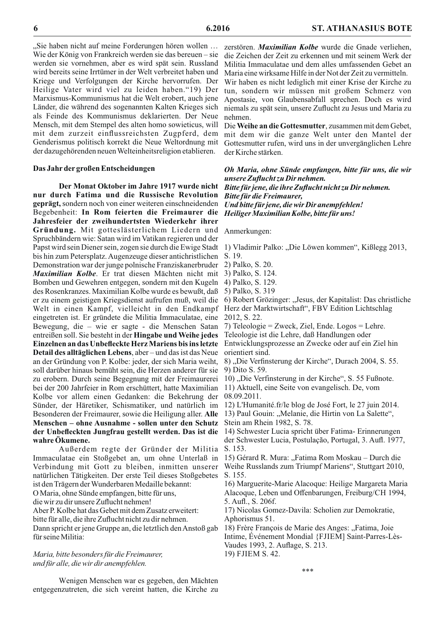"Sie haben nicht auf meine Forderungen hören wollen ... Wie der König von Frankreich werden sie das bereuen – sie werden sie vornehmen, aber es wird spät sein. Russland wird bereits seine Irrtümer in der Welt verbreitet haben und Kriege und Verfolgungen der Kirche hervorrufen. Der Heilige Vater wird viel zu leiden haben."19) Der Marxismus-Kommunismus hat die Welt erobert, auch jene Länder, die während des sogenannten Kalten Krieges sich als Feinde des Kommunismus deklarierten. Der Neue Mensch, mit dem Stempel des alten homo sowieticus, will mit dem zurzeit einflussreichsten Zugpferd, dem Genderismus politisch korrekt die Neue Weltordnung mit der dazugehörenden neuen Welteinheitsreligion etablieren.

#### Das Jahr der großen Entscheidungen

Der Monat Oktober im Jahre 1917 wurde nicht nur durch Fatima und die Russische Revolution geprägt, sondern noch von einer weiteren einschneidenden Begebenheit: In Rom feierten die Freimaurer die Jahresfeier der zweihundertsten Wiederkehr ihrer Gründung. Mit gotteslästerlichem Liedern und Spruchbändern wie: Satan wird im Vatikan regieren und der Papst wird sein Diener sein, zogen sie durch die Ewige Stadt 1) Vladimir Palko: "Die Löwen kommen", Kißlegg 2013, bis hin zum Petersplatz. Augenzeuge dieser antichristlichen Demonstration war der junge polnische Franziskanerbruder 2) Palko, S. 20. Maximilian Kolbe. Er trat diesen Mächten nicht mit 3) Palko, S. 124. Bomben und Gewehren entgegen, sondern mit den Kugeln des Rosenkranzes. Maximilian Kolbe wurde es bewußt, daß er zu einem geistigen Kriegsdienst aufrufen muß, weil die Welt in einen Kampf, vielleicht in den Endkampf eingetreten ist. Er gründete die Militia Immaculatae, eine Bewegung, die - wie er sagte - die Menschen Satan entreißen soll. Sie besteht in der Hingabe und Weihe jedes Einzelnen an das Unbefleckte Herz Mariens bis ins letzte Detail des alltäglichen Lebens, aber-und das ist das Neue an der Gründung von P. Kolbe: jeder, der sich Maria weiht, soll darüber hinaus bemüht sein, die Herzen anderer für sie zu erobern. Durch seine Begegnung mit der Freimaurerei bei der 200 Jahrfeier in Rom erschüttert, hatte Maximilian Kolbe vor allem einen Gedanken: die Bekehrung der Sünder, der Häretiker, Schismatiker, und natürlich im Besonderen der Freimaurer, sowie die Heiligung aller. Alle Menschen – ohne Ausnahme - sollen unter den Schutz der Unbefleckten Jungfrau gestellt werden. Das ist die wahre Ökumene.

Außerdem regte der Gründer der Militia Immaculatae ein Stoßgebet an, um ohne Unterlaß in Verbindung mit Gott zu bleiben, inmitten unserer natürlichen Tätigkeiten. Der erste Teil dieses Stoßgebetes ist den Trägern der Wunderbaren Medaille bekannt:

O Maria, ohne Sünde empfangen, bitte für uns,

die wir zu dir unsere Zuflucht nehmen!

Aber P. Kolbe hat das Gebet mit dem Zusatz erweitert:

bitte für alle, die ihre Zuflucht nicht zu dir nehmen.

Dann spricht er jene Gruppe an, die letztlich den Anstoß gab für seine Militia:

Maria, bitte besonders für die Freimaurer, und für alle, die wir dir anempfehlen.

die Zeichen der Zeit zu erkennen und mit seinem Werk der Militia Immaculatae und dem alles umfassenden Gebet an Maria eine wirksame Hilfe in der Not der Zeit zu vermitteln.

Wir haben es nicht lediglich mit einer Krise der Kirche zu tun, sondern wir müssen mit großem Schmerz von Apostasie, von Glaubensabfall sprechen. Doch es wird niemals zu spät sein, unsere Zuflucht zu Jesus und Maria zu nehmen.

zerstören. Maximilian Kolbe wurde die Gnade verliehen,

Die Weihe an die Gottesmutter, zusammen mit dem Gebet. mit dem wir die ganze Welt unter den Mantel der Gottesmutter rufen, wird uns in der unvergänglichen Lehre der Kirche stärken.

Oh Maria, ohne Sünde empfangen, bitte für uns, die wir unsere Zuflucht zu Dir nehmen.

Bitte für jene, die ihre Zuflucht nicht zu Dir nehmen. **Bitte für die Freimaurer,** Und bitte für jene, die wir Dir anempfehlen! Heiliger Maximilian Kolbe, bitte für uns!

#### Anmerkungen:

4) Palko, S. 129.

5) Palko, S. 319

6) Robert Grözinger: "Jesus, der Kapitalist: Das christliche Herz der Marktwirtschaft", FBV Edition Lichtschlag 2012, S. 22.

7) Teleologie = Zweck, Ziel, Ende. Logos = Lehre. Teleologie ist die Lehre, daß Handlungen oder

Entwicklungsprozesse an Zwecke oder auf ein Ziel hin orientiert sind.

8), Die Verfinsterung der Kirche", Durach 2004, S. 55. 9) Dito S. 59.

10), Die Verfinsterung in der Kirche", S. 55 Fußnote.

- 11) Aktuell, eine Seite von evangelisch. De, vom 08.09.2011.
- 12) L'Humanité.fr/le blog de José Fort, le 27 juin 2014.

13) Paul Gouin: "Melanie, die Hirtin von La Salette",

Stein am Rhein 1982, S. 78.

14) Schwester Lucia spricht über Fatima- Erinnerungen der Schwester Lucia, Postulação, Portugal, 3. Aufl. 1977, S. 153.

15) Gérard R. Mura: "Fatima Rom Moskau – Durch die Weihe Russlands zum Triumpf Mariens", Stuttgart 2010, S. 155.

16) Marguerite-Marie Alacoque: Heilige Margareta Maria Alacoque, Leben und Offenbarungen, Freiburg/CH 1994, 5. Aufl., S. 206f.

17) Nicolas Gomez-Davila: Scholien zur Demokratie, Aphorismus 51.

18) Frère François de Marie des Anges: "Fatima, Joie

Intime, Événement Mondial {FJIEM] Saint-Parres-Lès-Vaudes 1993, 2. Auflage, S. 213.

19) FJIEM S. 42.

\*\*\*

S. 19.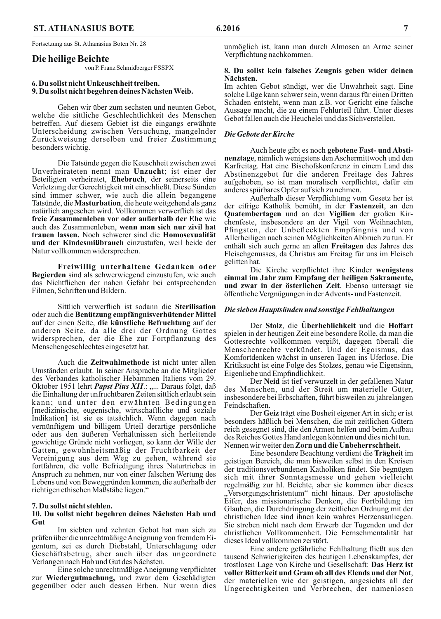Fortsetzung aus St. Athanasius Boten Nr. 28

#### Die heilige Beichte

von P. Franz Schmidberger FSSPX

#### 6. Du sollst nicht Unkeuschheit treiben. 9. Du sollst nicht begehren deines Nächsten Weib.

Gehen wir über zum sechsten und neunten Gebot, welche die sittliche Geschlechtlichkeit des Menschen betreffen. Auf diesem Gebiet ist die eingangs erwähnte Unterscheidung zwischen Versuchung, mangelnder Zurückweisung derselben und freier Zustimmung besonders wichtig.

Die Tatsünde gegen die Keuschheit zwischen zwei Unverheirateten nennt man Unzucht; ist einer der Beteiligten verheiratet, Ehebruch, der seinerseits eine Verletzung der Gerechtigkeit mit einschließt. Diese Sünden sind immer schwer, wie auch die allein begangene Tatsünde, die **Masturbation**, die heute weitgehend als ganz natürlich angesehen wird. Vollkommen verwerflich ist das freie Zusammenleben vor oder außerhalb der Ehe wie auch das Zusammenleben, wenn man sich nur zivil hat trauen lassen. Noch schwerer sind die Homosexualität und der Kindesmißbrauch einzustufen, weil beide der Natur vollkommen widersprechen.

Freiwillig unterhaltene Gedanken oder Begierden sind als schwerwiegend einzustufen, wie auch das Nichtfliehen der nahen Gefahr bei entsprechenden Filmen, Schriften und Bildern.

Sittlich verwerflich ist sodann die Sterilisation oder auch die Benützung empfängnisverhütender Mittel auf der einen Seite, die künstliche Befruchtung auf der anderen Seite, da alle drei der Ordnung Gottes widersprechen, der die Ehe zur Fortpflanzung des Menschengeschlechtes eingesetzt hat.

Auch die Zeitwahlmethode ist nicht unter allen Umständen erlaubt. In seiner Ansprache an die Mitglieder des Verbandes katholischer Hebammen Italiens vom 29. Oktober 1951 lehrt *Papst Pius XII*.: "... Daraus folgt, daß die Einhaltung der unfruchtbaren Zeiten sittlich erlaubt sein kann; und unter den erwähnten Bedingungen [medizinische, eugenische, wirtschaftliche und soziale Indikation ist sie es tatsächlich. Wenn dagegen nach vernünftigem und billigem Urteil derartige persönliche oder aus den äußeren Verhältnissen sich herleitende gewichtige Gründe nicht vorliegen, so kann der Wille der Gatten, gewohnheitsmäßig der Fruchtbarkeit der Vereinigung aus dem Weg zu gehen, während sie fortfahren, die volle Befriedigung ihres Naturtriebes in Anspruch zu nehmen, nur von einer falschen Wertung des Lebens und von Beweggründen kommen, die außerhalb der richtigen ethischen Maßstäbe liegen."

#### 7. Du sollst nicht stehlen.

#### 10. Du sollst nicht begehren deines Nächsten Hab und Gut

Im siebten und zehnten Gebot hat man sich zu prüfen über die unrechtmäßige Aneignung von fremdem Eigentum, sei es durch Diebstahl, Unterschlagung oder Geschäftsbetrug, aber auch über das ungeordnete Verlangen nach Hab und Gut des Nächsten.

Eine solche unrechtmäßige Aneignung verpflichtet zur Wiedergutmachung, und zwar dem Geschädigten gegenüber oder auch dessen Erben. Nur wenn dies

unmöglich ist, kann man durch Almosen an Arme seiner Verpflichtung nachkommen.

#### 8. Du sollst kein falsches Zeugnis geben wider deinen Nächsten.

Im achten Gebot sündigt, wer die Unwahrheit sagt. Eine solche Lüge kann schwer sein, wenn daraus für einen Dritten Schaden entsteht, wenn man z.B. vor Gericht eine falsche Aussage macht, die zu einem Fehlurteil führt. Unter dieses Gebot fallen auch die Heuchelei und das Sichverstellen.

#### Die Gebote der Kirche

Auch heute gibt es noch gebotene Fast- und Abstinenztage, nämlich wenigstens den Aschermittwoch und den Karfreitag. Hat eine Bischofskonferenz in einem Land das Abstinenzgebot für die anderen Freitage des Jahres aufgehoben, so ist man moralisch verpflichtet, dafür ein anderes spürbares Opfer auf sich zu nehmen.

Außerhalb dieser Verpflichtung vom Gesetz her ist der eifrige Katholik bemüht, in der Fastenzeit, an den Quatembertagen und an den Vigilien der großen Kirchenfeste, insbesondere an der Vigil von Weihnachten, Pfingsten, der Unbefleckten Empfängnis und von Allerheiligen nach seinen Möglichkeiten Abbruch zu tun. Er enthält sich auch gerne an allen Freitagen des Jahres des Fleischgenusses, da Christus am Freitag für uns im Fleisch gelitten hat.

Die Kirche verpflichtet ihre Kinder wenigstens einmal im Jahr zum Empfang der heiligen Sakramente, und zwar in der österlichen Zeit. Ebenso untersagt sie öffentliche Vergnügungen in der Advents- und Fastenzeit.

#### Die sieben Hauptsünden und sonstige Fehlhaltungen

Der Stolz, die Überheblichkeit und die Hoffart spielen in der heutigen Zeit eine besondere Rolle, da man die Gottesrechte vollkommen vergißt, dagegen überall die Menschenrechte verkündet. Und der Egoismus, das Komfortdenken wächst in unseren Tagen ins Uferlose. Die Kritiksucht ist eine Folge des Stolzes, genau wie Eigensinn, Eigenliebe und Empfindlichkeit.

Der Neid ist tief verwurzelt in der gefallenen Natur des Menschen, und der Streit um materielle Güter, insbesondere bei Erbschaften, führt bisweilen zu jahrelangen Feindschaften.

Der Geiz trägt eine Bosheit eigener Art in sich; er ist besonders häßlich bei Menschen, die mit zeitlichen Gütern reich gesegnet sind, die den Armen helfen und beim Aufbau des Reiches Gottes Hand anlegen könnten und dies nicht tun. Nennen wir weiter den Zorn und die Unbeherrschtheit.

Eine besondere Beachtung verdient die Trägheit im geistigen Bereich, die man bisweilen selbst in den Kreisen der traditionsverbundenen Katholiken findet. Sie begnügen sich mit ihrer Sonntagsmesse und gehen vielleicht regelmäßig zur hl. Beichte, aber sie kommen über dieses "Versorgungschristentum" nicht hinaus. Der apostolische Eifer, das missionarische Denken, die Fortbildung im Glauben, die Durchdringung der zeitlichen Ordnung mit der christlichen Idee sind ihnen kein wahres Herzensanliegen. Sie streben nicht nach dem Erwerb der Tugenden und der christlichen Vollkommenheit. Die Fernsehmentalität hat dieses Ideal vollkommen zerstört.

Eine andere gefährliche Fehlhaltung fließt aus den tausend Schwierigkeiten des heutigen Lebenskampfes, der trostlosen Lage von Kirche und Gesellschaft: Das Herz ist voller Bitterkeit und Gram ob all des Elends und der Not, der materiellen wie der geistigen, angesichts all der Ungerechtigkeiten und Verbrechen, der namenlosen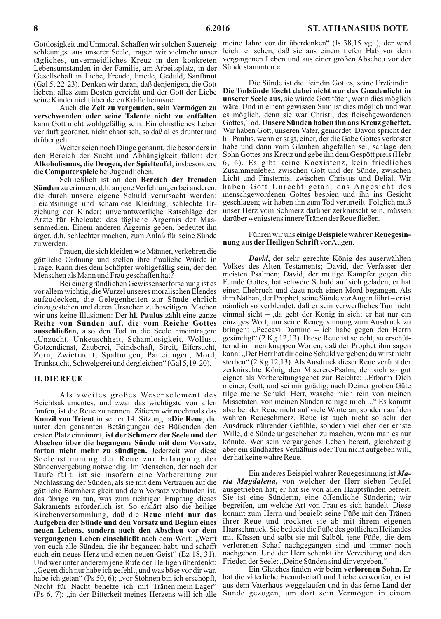Gottlosigkeit und Unmoral. Schaffen wir solchen Sauerteig schleunigst aus unserer Seele, tragen wir vielmehr unser tägliches, unvermeidliches Kreuz in den konkreten Lebensumständen in der Familie, am Arbeitsplatz, in der Gesellschaft in Liebe, Freude, Friede, Geduld, Sanftmut (Gal 5, 22-23). Denken wir daran, daß denjenigen, die Gott lieben, alles zum Besten gereicht und der Gott der Liebe seine Kinder nicht über deren Kräfte heimsucht.

Auch die Zeit zu vergeuden, sein Vermögen zu verschwenden oder seine Talente nicht zu entfalten kann Gott nicht wohlgefällig sein: Ein christliches Leben verläuft geordnet, nicht chaotisch, so daß alles drunter und drüber geht.

Weiter seien noch Dinge genannt, die besonders in den Bereich der Sucht und Abhängigkeit fallen: der Alkoholismus, die Drogen, der Spielteufel, insbesondere die Computerspiele bei Jugendlichen.

Schließlich ist an den Bereich der fremden Sünden zu erinnern, d.h. an jene Verfehlungen bei anderen, die durch unsere eigene Schuld verursacht werden: Leichtsinnige und schamlose Kleidung; schlechte Erziehung der Kinder; unverantwortliche Ratschläge der Arzte für Eheleute; das tägliche Argernis der Massenmedien. Einem anderen Ärgernis geben, bedeutet ihn ärger, d.h. schlechter machen, zum Anlaß für seine Sünde zu werden.

Frauen, die sich kleiden wie Männer, verkehren die göttliche Ordnung und stellen ihre frauliche Würde in Frage. Kann dies dem Schöpfer wohlgefällig sein, der den Menschen als Mann und Frau geschaffen hat?

Bei einer gründlichen Gewissenserforschung ist es vor allem wichtig, die Wurzel unseres moralischen Elendes aufzudecken, die Gelegenheiten zur Sünde ehrlich einzugestehen und deren Ursachen zu beseitigen. Machen wir uns keine Illusionen: Der **hl. Paulus** zählt eine ganze Reihe von Sünden auf, die vom Reiche Gottes **ausschließen**, also den Tod in die Seele hineintragen: "Unzucht, Unkeuschheit, Schamlosigkeit, Wollust, Götzendienst, Zauberei, Feindschaft, Streit, Eifersucht, Zorn, Zwietracht, Spaltungen, Parteiungen, Mord, Trunksucht, Schwelgerei und dergleichen" (Gal 5,19-20).

#### **II. DIE REUE**

Als zweites großes Wesenselement des Beichtsakramentes, und zwar das wichtigste von allen fünfen, ist die Reue zu nennen. Zitieren wir nochmals das Konzil von Trient in seiner 14. Sitzung: »Die Reue, die unter den genannten Betätigungen des Büßenden den ersten Platz einnimmt, ist der Schmerz der Seele und der Abscheu über die begangene Sünde mit dem Vorsatz, fortan nicht mehr zu sündigen. Jederzeit war diese Seelenstimmung der Reue zur Erlangung der Sündenvergebung notwendig. Im Menschen, der nach der Taufe fällt, ist sie insofern eine Vorbereitung zur Nachlassung der Sünden, als sie mit dem Vertrauen auf die göttliche Barmherzigkeit und dem Vorsatz verbunden ist, das übrige zu tun, was zum richtigen Empfang dieses Sakraments erforderlich ist. So erklärt also die heilige Kirchenversammlung, daß die Reue nicht nur das Aufgeben der Sünde und den Vorsatz und Beginn eines neuen Lebens, sondern auch den Abscheu vor dem vergangenen Leben einschließt nach dem Wort: "Werft von euch alle Sünden, die ihr begangen habt, und schafft euch ein neues Herz und einen neuen Geist" (Ez 18, 31). Und wer unter anderem jene Rufe der Heiligen überdenkt: "Gegen dich nur habe ich gefehlt, und was böse vor dir war, habe ich getan" (Ps 50, 6); "vor Stöhnen bin ich erschöpft, Nacht für Nacht benetze ich mit Tränen mein Lager" (Ps 6, 7); "in der Bitterkeit meines Herzens will ich alle Sünde gezogen, um dort sein Vermögen in einem

meine Jahre vor dir überdenken" (Is 38,15 vgl.), der wird leicht einsehen, daß sie aus einem tiefen Haß vor dem vergangenen Leben und aus einer großen Abscheu vor der Sünde stammten.«

Die Sünde ist die Feindin Gottes, seine Erzfeindin. Die Todsünde löscht dabei nicht nur das Gnadenlicht in unserer Seele aus, sie würde Gott töten, wenn dies möglich wäre. Und in einem gewissen Sinn ist dies möglich und war es möglich, denn sie war Christi, des fleischgewordenen Gottes, Tod. Unsere Sünden haben ihn ans Kreuz geheftet. Wir haben Gott, unseren Vater, gemordet. Davon spricht der hl. Paulus, wenn er sagt, einer, der die Gabe Gottes verkostet habe und dann vom Glauben abgefallen sei, schlage den Sohn Gottes ans Kreuz und gebe ihn dem Gespött preis (Hebr 6, 6). Es gibt keine Koexistenz, kein friedliches Zusammenleben zwischen Gott und der Sünde, zwischen Licht und Finsternis, zwischen Christus und Belial. Wir haben Gott Unrecht getan, das Angesicht des menschgewordenen Gottes bespien und ihn ins Gesicht geschlagen; wir haben ihn zum Tod verurteilt. Folglich muß unser Herz vom Schmerz darüber zerknirscht sein, müssen darüber wenigstens innere Tränen der Reue fließen.

#### Führen wir uns einige Beispiele wahrer Reuegesinnung aus der Heiligen Schrift vor Augen.

David, der sehr gerechte König des auserwählten Volkes des Alten Testaments; David, der Verfasser der meisten Psalmen; David, der mutige Kämpfer gegen die Feinde Gottes, hat schwere Schuld auf sich geladen; er hat einen Ehebruch und dazu noch einen Mord begangen. Als ihm Nathan, der Prophet, seine Sünde vor Augen führt- er ist nämlich so verblendet, daß er sein verwerfliches Tun nicht einmal sieht – , da geht der König in sich; er hat nur ein einziges Wort, um seine Reuegesinnung zum Ausdruck zu bringen: "Peccavi Domino – ich habe gegen den Herrn gesündigt" (2 Kg 12,13). Diese Reue ist so echt, so erschütternd in ihren knappen Worten, daß der Prophet ihm sagen kann: "Der Herr hat dir deine Schuld vergeben; du wirst nicht sterben" (2 Kg 12,13). Als Ausdruck dieser Reue verfaßt der zerknirschte König den Miserere-Psalm, der sich so gut eignet als Vorbereitungsgebet zur Beichte: "Erbarm Dich meiner, Gott, und sei mir gnädig; nach Deiner großen Güte tilge meine Schuld. Herr, wasche mich rein von meinen Missetaten, von meinen Sünden reinige mich ... "Es kommt also bei der Reue nicht auf viele Worte an, sondern auf den wahren Reueschmerz. Reue ist auch nicht so sehr der Ausdruck rührender Gefühle, sondern viel eher der ernste Wille, die Sünde ungeschehen zu machen, wenn man es nur könnte. Wer sein vergangenes Leben bereut, gleichzeitig aber ein sündhaftes Verhältnis oder Tun nicht aufgeben will, der hat keine wahre Reue.

Ein anderes Beispiel wahrer Reuegesinnung ist Maria Magdalena, von welcher der Herr sieben Teufel ausgetrieben hat; er hat sie von allen Hauptsünden befreit. Sie ist eine Sünderin, eine öffentliche Sünderin; wir begreifen, um welche Art von Frau es sich handelt. Diese kommt zum Herrn und begießt seine Füße mit den Tränen ihrer Reue und trocknet sie ab mit ihrem eigenen Haarschmuck. Sie bedeckt die Füße des göttlichen Heilandes mit Küssen und salbt sie mit Salböl, jene Füße, die dem verlorenen Schaf nachgegangen sind und immer noch nachgehen. Und der Herr schenkt ihr Verzeihung und den Frieden der Seele: "Deine Sünden sind dir vergeben."

Ein Gleiches finden wir beim verlorenen Sohn. Er hat die väterliche Freundschaft und Liebe verworfen, er ist aus dem Vaterhaus weggelaufen und in das ferne Land der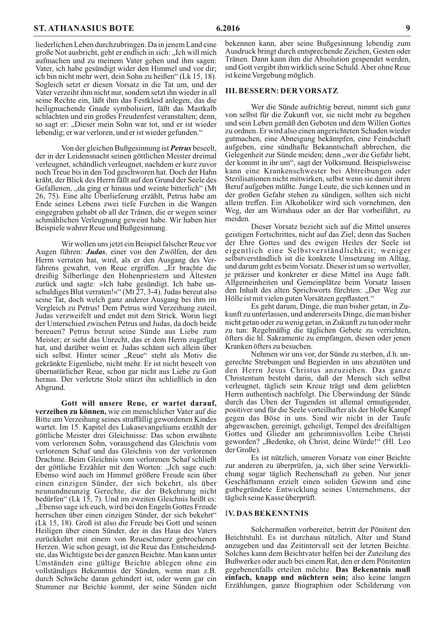liederlichen Leben durchzubringen. Da in jenem Land eine große Not ausbricht, geht er endlich in sich: "Ich will mich aufmachen und zu meinem Vater gehen und ihm sagen: Vater, ich habe gesündigt wider den Himmel und vor dir; ich bin nicht mehr wert, dein Sohn zu heißen" (Lk 15, 18). Sogleich setzt er diesen Vorsatz in die Tat um, und der Vater verzeiht ihm nicht nur, sondern setzt ihn wieder in all seine Rechte ein, läßt ihm das Festkleid anlegen, das die heiligmachende Gnade symbolisiert, läßt das Mastkalb schlachten und ein großes Freudenfest veranstalten; denn, so sagt er: "Dieser mein Sohn war tot, und er ist wieder lebendig; er war verloren, und er ist wieder gefunden."

Von der gleichen Bußgesinnung ist **Petrus** beseelt, der in der Leidensnacht seinen göttlichen Meister dreimal verleugnet, schändlich verleugnet, nachdem er kurz zuvor noch Treue bis in den Tod geschworen hat. Doch der Hahn kräht, der Blick des Herrn fällt auf den Grund der Seele des Gefallenen, "da ging er hinaus und weinte bitterlich" (Mt 26, 75). Eine alte Überlieferung erzählt, Petrus habe am Ende seines Lebens zwei tiefe Furchen in die Wangen eingegraben gehabt ob all der Tränen, die er wegen seiner schmählichen Verleugnung geweint habe. Wir haben hier Beispiele wahrer Reue und Bußgesinnung.

Wir wollen uns jetzt ein Beispiel falscher Reue vor Augen führen: Judas, einer von den Zwölfen, der den Herrn verraten hat, wird, als er den Ausgang des Verfahrens gewahrt, von Reue ergriffen. "Er brachte die dreißig Silberlinge den Hohenpriestern und Ältesten zurück und sagte: »Ich habe gesündigt. Ich habe unschuldiges Blut verraten!«" (Mt 27, 3-4). Judas bereut also seine Tat, doch welch ganz anderer Ausgang bei ihm im Vergleich zu Petrus! Dem Petrus wird Verzeihung zuteil, Judas verzweifelt und endet mit dem Strick. Worin liegt der Unterschied zwischen Petrus und Judas, da doch beide bereuen? Petrus bereut seine Sünde aus Liebe zum Meister; er sieht das Unrecht, das er dem Herrn zugefügt hat, und darüber weint er. Judas schämt sich allein über sich selbst. Hinter seiner "Reue" steht als Motiv die gekränkte Eigenliebe, nicht mehr. Er ist nicht beseelt von übernatürlicher Reue, schon gar nicht aus Liebe zu Gott heraus. Der verletzte Stolz stürzt ihn schließlich in den Abgrund.

Gott will unsere Reue, er wartet darauf, verzeihen zu können, wie ein menschlicher Vater auf die Bitte um Verzeihung seines straffällig gewordenen Kindes wartet. Im 15. Kapitel des Lukasevangeliums erzählt der göttliche Meister drei Gleichnisse: Das schon erwähnte vom verlorenen Sohn, vorausgehend das Gleichnis vom verlorenen Schaf und das Gleichnis von der verlorenen Drachme. Beim Gleichnis vom verlorenen Schaf schließt der göttliche Erzähler mit den Worten: "Ich sage euch: Ebenso wird auch im Himmel größere Freude sein über einen einzigen Sünder, der sich bekehrt, als über neunundneunzig Gerechte, die der Bekehrung nicht<br>bedürfen" (Lk 15, 7). Und im zweiten Gleichnis heißt es: "Ebenso sage ich euch, wird bei den Engeln Gottes Freude herrschen über einen einzigen Sünder, der sich bekehrt" (Lk 15, 18). Groß ist also die Freude bei Gott und seinen Heiligen über einen Sünder, der in das Haus des Vaters zurückkehrt mit einem von Reueschmerz gebrochenen Herzen. Wie schon gesagt, ist die Reue das Entscheidendste, das Wichtigste bei der ganzen Beichte. Man kann unter Umständen eine gültige Beichte ablegen ohne ein vollständiges Bekenntnis der Sünden, wenn man z.B. durch Schwäche daran gehindert ist, oder wenn gar ein Stummer zur Beichte kommt, der seine Sünden nicht bekennen kann, aber seine Bußgesinnung lebendig zum Ausdruck bringt durch entsprechende Zeichen, Gesten oder Tränen. Dann kann ihm die Absolution gespendet werden, und Gott vergibt ihm wirklich seine Schuld. Aber ohne Reue ist keine Vergebung möglich.

#### **III. BESSERN: DER VORSATZ**

Wer die Sünde aufrichtig bereut, nimmt sich ganz von selbst für die Zukunft vor, sie nicht mehr zu begehen und sein Leben gemäß den Geboten und dem Willen Gottes zu ordnen. Er wird also einen angerichteten Schaden wieder gutmachen, eine Abneigung bekämpfen, eine Feindschaft aufgeben, eine sündhafte Bekanntschaft abbrechen, die Gelegenheit zur Sünde meiden; denn "wer die Gefahr liebt, der kommt in ihr um", sagt der Volksmund. Beispielsweise kann eine Krankenschwester bei Abtreibungen oder Sterilisationen nicht mitwirken, selbst wenn sie damit ihren Beruf aufgeben müßte. Junge Leute, die sich kennen und in der großen Gefahr stehen zu sündigen, sollten sich nicht allein treffen. Ein Alkoholiker wird sich vornehmen, den Weg, der am Wirtshaus oder an der Bar vorbeiführt, zu meiden.

Dieser Vorsatz bezieht sich auf die Mittel unseres geistigen Fortschrittes, nicht auf das Ziel; denn das Suchen der Ehre Gottes und des ewigen Heiles der Seele ist eigentlich eine Selbstverständlichkeit; weniger selbstverständlich ist die konkrete Umsetzung im Alltag, und darum geht es beim Vorsatz. Dieser ist um so wertvoller, je präziser und konkreter er diese Mittel ins Auge faßt. Allgemeinheiten und Gemeinplätze beim Vorsatz lassen den Inhalt des alten Sprichworts fürchten: "Der Weg zur Hölle ist mit vielen guten Vorsätzen gepflastert."

Es geht darum, Dinge, die man bisher getan, in Zukunft zu unterlassen, und andererseits Dinge, die man bisher nicht getan oder zu wenig getan, in Zukunft zu tun oder mehr zu tun: Regelmäßig die täglichen Gebete zu verrichten, öfters die hl. Sakramente zu empfangen, diesen oder jenen Kranken öfters zu besuchen.

Nehmen wir uns vor, der Sünde zu sterben, d.h. ungerechte Strebungen und Begierden in uns abzutöten und den Herrn Jesus Christus anzuziehen. Das ganze Christentum besteht darin, daß der Mensch sich selbst verleugnet, täglich sein Kreuz trägt und dem geliebten Herrn authentisch nachfolgt. Die Überwindung der Sünde durch das Üben der Tugenden ist allemal ermutigender, positiver und für die Seele vorteilhafter als der bloße Kampf gegen das Böse in uns. Sind wir nicht in der Taufe abgewaschen, gereinigt, geheiligt, Tempel des dreifaltigen Gottes und Glieder am geheimnisvollen Leibe Christi geworden? "Bedenke, oh Christ, deine Würde!" (Hl. Leo der Große).

Es ist nützlich, unseren Vorsatz von einer Beichte zur anderen zu überprüfen, ja, sich über seine Verwirklichung sogar täglich Rechenschaft zu geben. Nur jener Geschäftsmann erzielt einen soliden Gewinn und eine gutbegründete Entwicklung seines Unternehmens, der täglich seine Kasse überprüft.

#### **IV. DAS BEKENNTNIS**

Solchermaßen vorbereitet, betritt der Pönitent den Beichtstuhl. Es ist durchaus nützlich, Alter und Stand anzugeben und das Zeitintervall seit der letzten Beichte. Solches kann dem Beichtvater helfen bei der Zuteilung des Bußwerkes oder auch bei einem Rat, den er dem Pönitenten gegebenenfalls erteilen möchte. Das Bekenntnis muß einfach, knapp und nüchtern sein; also keine langen Erzählungen, ganze Biographien oder Schilderung von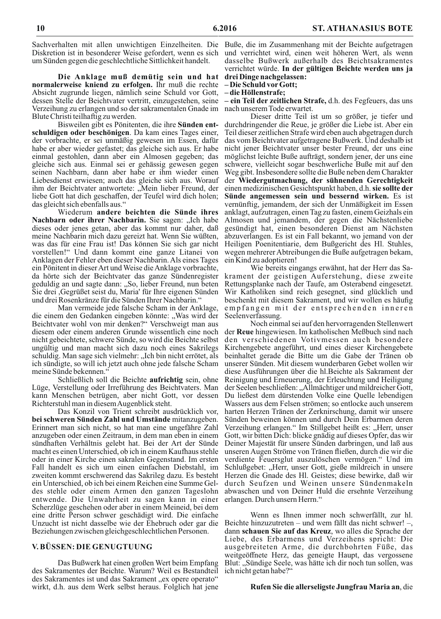Sachverhalten mit allen unwichtigen Einzelheiten. Die Buße, die im Zusammenhang mit der Beichte aufgetragen Diskretion ist in besonderer Weise gefordert, wenn es sich um Sünden gegen die geschlechtliche Sittlichkeit handelt.

Die Anklage muß demütig sein und hat drei Dingenachgelassen: normalerweise kniend zu erfolgen. Ihr muß die rechte Absicht zugrunde liegen, nämlich seine Schuld vor Gott, dessen Stelle der Beichtvater vertritt, einzugestehen, seine – ein Teil der zeitlichen Strafe, d.h. des Fegfeuers, das uns Verzeihung zu erlangen und so der sakramentalen Gnade im nach unserem Tode erwartet. Blute Christi teilhaftig zu werden.

Bisweilen gibt es Pönitenten, die ihre Sünden entschuldigen oder beschönigen. Da kam eines Tages einer, der vorbrachte, er sei unmäßig gewesen im Essen, dafür habe er aber wieder gefastet; das gleiche sich aus. Er habe einmal gestohlen, dann aber ein Almosen gegeben; das gleiche sich aus. Einmal sei er gehässig gewesen gegen seinen Nachbarn, dann aber habe er ihm wieder einen Liebesdienst erwiesen; auch das gleiche sich aus. Worauf ihm der Beichtvater antwortete: "Mein lieber Freund, der liebe Gott hat dich geschaffen, der Teufel wird dich holen; das gleicht sich ebenfalls aus."

Wiederum andere beichten die Sünde ihres Nachbarn oder ihrer Nachbarin. Sie sagen: "Ich habe dieses oder jenes getan, aber das kommt nur daher, daß meine Nachbarin mich dazu gereizt hat. Wenn Sie wüßten, was das für eine Frau ist! Das können Sie sich gar nicht vorstellen!" Und dann kommt eine ganze Litanei von Anklagen der Fehler eben dieser Nachbarin. Als eines Tages ein Pönitent in dieser Art und Weise die Anklage vorbrachte, da hörte sich der Beichtvater das ganze Sündenregister geduldig an und sagte dann: "So, lieber Freund, nun beten Sie drei , Gegrüßet seist du, Maria' für Ihre eigenen Sünden und drei Rosenkränze für die Sünden Ihrer Nachbarin."

Man vermeide jede falsche Scham in der Anklage, die einem den Gedanken eingeben könnte: "Was wird der Beichtvater wohl von mir denken?" Verschweigt man aus diesem oder einem anderen Grunde wissentlich eine noch nicht gebeichtete, schwere Sünde, so wird die Beichte selbst ungültig und man macht sich dazu noch eines Sakrilegs schuldig. Man sage sich vielmehr: "Ich bin nicht errötet, als ich sündigte, so will ich jetzt auch ohne jede falsche Scham meine Sünde bekennen."

Schließlich soll die Beichte aufrichtig sein, ohne Lüge, Verstellung oder Irreführung des Beichtvaters. Man kann Menschen betrügen, aber nicht Gott, vor dessen Richterstuhl man in diesem Augenblick steht.

Das Konzil von Trient schreibt ausdrücklich vor, bei schweren Sünden Zahl und Umstände mitanzugeben. Erinnert man sich nicht, so hat man eine ungefähre Zahl anzugeben oder einen Zeitraum, in dem man eben in einem sündhaften Verhältnis gelebt hat. Bei der Art der Sünde macht es einen Unterschied, ob ich in einem Kaufhaus stehle oder in einer Kirche einen sakralen Gegenstand. Im ersten Fall handelt es sich um einen einfachen Diebstahl, im zweiten kommt erschwerend das Sakrileg dazu. Es besteht ein Unterschied, ob ich bei einem Reichen eine Summe Geldes stehle oder einem Armen den ganzen Tageslohn entwende. Die Unwahrheit zu sagen kann in einer Scherzlüge geschehen oder aber in einem Meineid, bei dem eine dritte Person schwer geschädigt wird. Die einfache Unzucht ist nicht dasselbe wie der Ehebruch oder gar die Beichte hinzuzutreten – und wem fällt das nicht schwer! –, Beziehungen zwischen gleichgeschlechtlichen Personen.

#### V. BÜSSEN: DIE GENUGTUUNG

Das Bußwerk hat einen großen Wert beim Empfang des Sakramentes der Beichte. Warum? Weil es Bestandteil des Sakramentes ist und das Sakrament "ex opere operato" wirkt, d.h. aus dem Werk selbst heraus. Folglich hat jene

und verrichtet wird, einen weit höheren Wert, als wenn dasselbe Bußwerk außerhalb des Beichtsakramentes verrichtet würde. In der gültigen Beichte werden uns ja

- Die Schuld vor Gott;

-die Höllenstrafe;

Dieser dritte Teil ist um so größer, je tiefer und durchdringender die Reue, je größer die Liebe ist. Aber ein Teil dieser zeitlichen Strafe wird eben auch abgetragen durch das vom Beichtvater aufgetragene Bußwerk. Und deshalb ist nicht jener Beichtvater unser bester Freund, der uns eine möglichst leichte Buße aufträgt, sondern jener, der uns eine schwere, vielleicht sogar beschwerliche Buße mit auf den Weg gibt. Insbesondere sollte die Buße neben dem Charakter der Wiedergutmachung, der sühnenden Gerechtigkeit einen medizinischen Gesichtspunkt haben, d.h. sie sollte der Sünde angemessen sein und bessernd wirken. Es ist vernünftig, jemandem, der sich der Unmäßigkeit im Essen anklagt, aufzutragen, einen Tag zu fasten, einem Geizhals ein Almosen und jemandem, der gegen die Nächstenliebe gesündigt hat, einen besonderen Dienst am Nächsten abzuverlangen. Es ist ein Fall bekannt, wo jemand von der Heiligen Poenitentiarie, dem Bußgericht des Hl. Stuhles, wegen mehrerer Abtreibungen die Buße aufgetragen bekam, ein Kind zu adoptieren!

Wie bereits eingangs erwähnt, hat der Herr das Sakrament der geistigen Auferstehung, diese zweite Rettungsplanke nach der Taufe, am Osterabend eingesetzt. Wir Katholiken sind reich gesegnet, sind glücklich und beschenkt mit diesem Sakrament, und wir wollen es häufig empfangen mit der entsprechenden inneren Seelenverfassung.

Noch einmal sei auf den hervorragenden Stellenwert der Reue hingewiesen. Im katholischen Meßbuch sind nach den verschiedenen Votivmessen auch besondere Kirchengebete angeführt, und eines dieser Kirchengebete beinhaltet gerade die Bitte um die Gabe der Tränen ob unserer Sünden. Mit diesem wunderbaren Gebet wollen wir diese Ausführungen über die hl. Beichte als Sakrament der Reinigung und Erneuerung, der Erleuchtung und Heiligung der Seelen beschließen: "Allmächtiger und mildreicher Gott, Du ließest dem dürstenden Volke eine Quelle lebendigen Wassers aus dem Felsen strömen; so entlocke auch unserem harten Herzen Tränen der Zerknirschung, damit wir unsere Sünden beweinen können und durch Dein Erbarmen deren Verzeihung erlangen." Im Stillgebet heißt es: "Herr, unser Gott, wir bitten Dich: blicke gnädig auf dieses Opfer, das wir Deiner Majestät für unsere Sünden darbringen, und laß aus unseren Augen Ströme von Tränen fließen, durch die wir die verdiente Feuersglut auszulöschen vermögen." Und im Schlußgebet: "Herr, unser Gott, gieße mildreich in unsere Herzen die Gnade des Hl. Geistes; diese bewirke, daß wir durch Seufzen und Weinen unsere Sündenmakeln abwaschen und von Deiner Huld die ersehnte Verzeihung erlangen. Durch unsern Herrn."

Wenn es Ihnen immer noch schwerfällt, zur hl. dann schauen Sie auf das Kreuz, wo alles die Sprache der Liebe, des Erbarmens und Verzeihens spricht: Die ausgebreiteten Arme, die durchbohrten Füße, das weitgeöffnete Herz, das geneigte Haupt, das vergossene Blut: "Sündige Seele, was hätte ich dir noch tun sollen, was ich nicht getan habe?"

#### Rufen Sie die allerseligste Jungfrau Maria an, die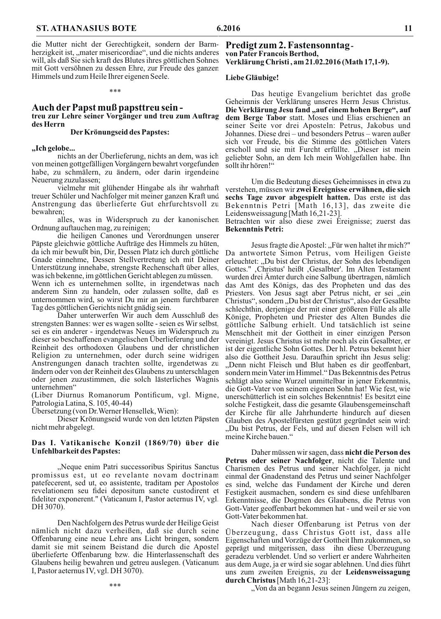die Mutter nicht der Gerechtigkeit, sondern der Barmherzigkeit ist, "mater misericordiae", und die nichts anderes will, als daß Sie sich kraft des Blutes ihres göttlichen Sohnes mit Gott versöhnen zu dessen Ehre, zur Freude des ganzen Himmels und zum Heile Ihrer eigenen Seele.

#### Auch der Papst muß papsttreu seintreu zur Lehre seiner Vorgänger und treu zum Auftrag des Herrn

#### Der Krönungseid des Papstes:

#### "Ich gelobe...

nichts an der Überlieferung, nichts an dem, was ich von meinen gottgefälligen Vorgängern bewahrt vorgefunden habe, zu schmälern, zu ändern, oder darin irgendeine Neuerung zuzulassen;

vielmehr mit glühender Hingabe als ihr wahrhaft treuer Schüler und Nachfolger mit meiner ganzen Kraft und Anstrengung das überlieferte Gut ehrfurchtsvoll zu bewahren:

alles, was in Widerspruch zu der kanonischen Ordnung auftauchen mag, zu reinigen;

die heiligen Canones und Verordnungen unserer Päpste gleichwie göttliche Aufträge des Himmels zu hüten, da ich mir bewußt bin, Dir, Dessen Platz ich durch göttliche Gnade einnehme, Dessen Stellvertretung ich mit Deiner Unterstützung innehabe, strengste Rechenschaft über alles, was ich bekenne, im göttlichen Gericht ablegen zu müssen.

Wenn ich es unternehmen sollte, in irgendetwas nach anderem Sinn zu handeln, oder zulassen sollte, daß es unternommen wird, so wirst Du mir an jenem furchtbaren Tag des göttlichen Gerichts nicht gnädig sein.

Daher unterwerfen Wir auch dem Ausschluß des strengsten Bannes: wer es wagen sollte - seien es Wir selbst, sei es ein anderer - irgendetwas Neues im Widerspruch zu dieser so beschaffenen evangelischen Überlieferung und der Reinheit des orthodoxen Glaubens und der christlichen Religion zu unternehmen, oder durch seine widrigen Anstrengungen danach trachten sollte, irgendetwas zu ändern oder von der Reinheit des Glaubens zu unterschlagen oder jenen zuzustimmen, die solch lästerliches Wagnis unternehmen"

(Liber Diurnus Romanorum Pontificum, vgl. Migne, Patrologia Latina, S. 105, 40-44)

Ubersetzung (von Dr. Werner Hensellek, Wien):

Dieser Krönungseid wurde von den letzten Päpsten nicht mehr abgelegt.

#### Das I. Vatikanische Konzil (1869/70) über die **Unfehlbarkeit des Papstes:**

"Neque enim Patri successoribus Spiritus Sanctus promissus est, ut eo revelante novam doctrinam patefecerent, sed ut, eo assistente, traditam per Apostolos revelationem seu fidei depositum sancte custodirent et fideliter exponerent." (Vaticanum I, Pastor aeternus IV, vgl. DH 3070).

Den Nachfolgern des Petrus wurde der Heilige Geist nämlich nicht dazu verheißen, daß sie durch seine Offenbarung eine neue Lehre ans Licht bringen, sondern damit sie mit seinem Beistand die durch die Apostel überlieferte Offenbarung bzw. die Hinterlassenschaft des Glaubens heilig bewahren und getreu auslegen. (Vaticanum I, Pastor aeternus IV, vgl. DH 3070).

\*\*\*

#### Predigt zum 2. Fastensonntagvon Pater Francois Berthod, Verklärung Christi, am 21.02.2016 (Math 17,1-9).

#### Liebe Gläubige!

Das heutige Evangelium berichtet das große Geheimnis der Verklärung unseres Herrn Jesus Christus. Die Verklärung Jesu fand "auf einem hohen Berge", auf dem Berge Tabor statt. Moses und Elias erschienen an seiner Seite vor drei Aposteln: Petrus, Jakobus und Johannes. Diese drei – und besonders Petrus – waren außer sich vor Freude, bis die Stimme des göttlichen Vaters erscholl und sie mit Furcht erfüllte. "Dieser ist mein geliebter Sohn, an dem Ich mein Wohlgefallen habe. Ihn sollt ihr hören!"

Um die Bedeutung dieses Geheimnisses in etwa zu verstehen, müssen wir zwei Ereignisse erwähnen, die sich sechs Tage zuvor abgespielt hatten. Das erste ist das Bekenntnis Petri [Math 16,13], das zweite die Leidensweissagung [Math 16,21-23].

Betrachten wir also diese zwei Ereignisse; zuerst das **Bekenntnis Petri:** 

Jesus fragte die Apostel: "Für wen haltet ihr mich?" Da antwortete Simon Petrus, vom Heiligen Geiste erleuchtet: "Du bist der Christus, der Sohn des lebendigen Gottes.", Christus' heißt, Gesalbter'. Im Alten Testament wurden drei Ämter durch eine Salbung übertragen, nämlich das Amt des Königs, das des Propheten und das des Priesters. Von Jesus sagt aber Petrus nicht, er sei "ein Christus", sondern "Du bist der Christus", also der Gesalbte schlechthin, derjenige der mit einer größeren Fülle als alle Könige, Propheten und Priester des Alten Bundes die göttliche Salbung erhielt. Und tatsächlich ist seine Menschheit mit der Gottheit in einer einzigen Person vereinigt. Jesus Christus ist mehr noch als ein Gesalbter, er ist der eigentliche Sohn Gottes. Der hl. Petrus bekennt hier also die Gottheit Jesu. Daraufhin spricht ihn Jesus selig: "Denn nicht Fleisch und Blut haben es dir geoffenbart, sondern mein Vater im Himmel." Das Bekenntnis des Petrus schlägt also seine Wurzel unmittelbar in jener Erkenntnis, die Gott-Vater von seinem eigenen Sohn hat! Wie fest, wie unerschütterlich ist ein solches Bekenntnis! Es besitzt eine solche Festigkeit, dass die gesamte Glaubensgemeinschaft der Kirche für alle Jahrhunderte hindurch auf diesen Glauben des Apostelfürsten gestützt gegründet sein wird: "Du bist Petrus, der Fels, und auf diesen Felsen will ich meine Kirche bauen."

Daher müssen wir sagen, dass nicht die Person des Petrus oder seiner Nachfolger, nicht die Talente und Charismen des Petrus und seiner Nachfolger, ja nicht einmal der Gnadenstand des Petrus und seiner Nachfolger es sind, welche das Fundament der Kirche und deren Festigkeit ausmachen, sondern es sind diese unfehlbaren Erkenntnisse, die Dogmen des Glaubens, die Petrus von Gott-Vater geoffenbart bekommen hat - und weil er sie von Gott-Vater bekommen hat.

Nach dieser Offenbarung ist Petrus von der Überzeugung, dass Christus Gott ist, dass alle Eigenschaften und Vorzüge der Gottheit Ihm zukommen, so geprägt und mitgerissen, dass ihn diese Uberzeugung geradezu verblendet. Und so verliert er andere Wahrheiten aus dem Auge, ja er wird sie sogar ablehnen. Und dies führt uns zum zweiten Ereignis, zu der Leidensweissagung durch Christus [Math 16,21-23]:

"Von da an begann Jesus seinen Jüngern zu zeigen,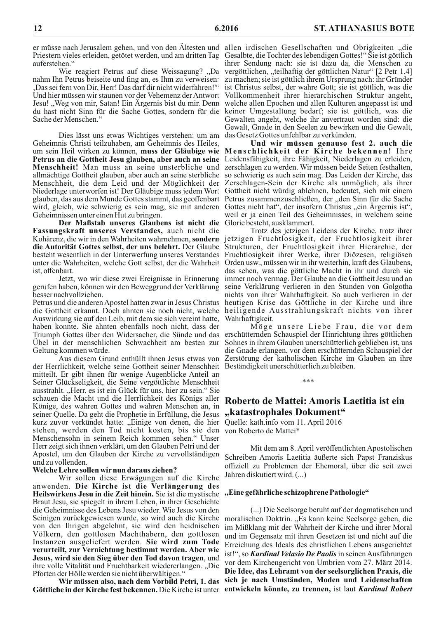Priestern vieles erleiden, getötet werden, und am dritten Tag auferstehen."

Wie reagiert Petrus auf diese Weissagung? "Da nahm Ihn Petrus beiseite und fing an, es Ihm zu verweisen: ,Das sei fern von Dir, Herr! Das darf dir nicht widerfahren!" Und hier müssen wir staunen vor der Vehemenz der Antwort Sache der Menschen."

Dies lässt uns etwas Wichtiges verstehen: um am das Gesetz Gottes unfehlbar zu verkünden. Geheimnis Christi teilzuhaben, am Geheimnis des Heiles, um sein Heil wirken zu können, muss der Gläubige wie Menschlichkeit der Kirche bekennen! Ihre Petrus an die Gottheit Jesu glauben, aber auch an seine Leidensfähigkeit, ihre Fähigkeit, Niederlagen zu erleiden, Menschheit! Man muss an seine unsterbliche und allmächtige Gottheit glauben, aber auch an seine sterbliche so schwierig es auch sein mag. Das Leiden der Kirche, das Menschheit, die dem Leid und der Möglichkeit der Zerschlagen-Sein der Kirche als unmöglich, als ihrer Niederlage unterworfen ist! Der Gläubige muss jedem Wort Gottheit nicht würdig ablehnen, bedeutet, sich mit einem glauben, das aus dem Munde Gottes stammt, das geoffenbart Petrus zusammenzuschließen, der "den Sinn für die Sache wird, gleich, wie schwierig es sein mag, sie mit anderen Gottes nicht hat", der insofern Christus "ein Ärgernis ist", Geheimnissen unter einen Hut zu bringen.

Der Maßstab unseres Glaubens ist nicht die Glorie besteht, ausklammert. Fassungskraft unseres Verstandes, auch nicht die Kohärenz, die wir in den Wahrheiten wahrnehmen, sondern die Autorität Gottes selbst, der uns belehrt. Der Glaube besteht wesentlich in der Unterwerfung unseres Verstandes unter die Wahrheiten, welche Gott selbst, der die Wahrheit Orden usw., müssen wir in ihr weiterhin, kraft des Glaubens, ist, offenbart.

Jetzt, wo wir diese zwei Ereignisse in Erinnerung gerufen haben, können wir den Beweggrund der Verklärung besser nachvollziehen.

Petrus und die anderen Apostel hatten zwar in Jesus Christus die Gottheit erkannt. Doch ahnten sie noch nicht, welche heiligende Ausstrahlungskraft nichts von ihrer Auswirkung sie auf den Leib, mit dem sie sich vereint hatte, haben konnte. Sie ahnten ebenfalls noch nicht, dass der Triumph Gottes über den Widersacher, die Sünde und das erschütternden Schauspiel der Hinrichtung ihres göttlichen Übel in der menschlichen Schwachheit am besten zur Geltung kommen würde.

der Herrlichkeit, welche seine Gottheit seiner Menschheit Beständigkeit unerschütterlich zu bleiben. mitteilt. Er gibt ihnen für wenige Augenblicke Anteil an Seiner Glückseligkeit, die Seine vergöttlichte Menschheit ausstrahlt. "Herr, es ist ein Glück für uns, hier zu sein." Sie schauen die Macht und die Herrlichkeit des Königs aller Könige, des wahren Gottes und wahren Menschen an, in seiner Quelle. Da geht die Prophetie in Erfüllung, die Jesus kurz zuvor verkündet hatte: "Einige von denen, die hier Quelle: kath.info vom 11. April 2016 stehen, werden den Tod nicht kosten, bis sie den von Roberto de Mattei\* Menschensohn in seinem Reich kommen sehen." Unser Herr zeigt sich ihnen verklärt, um den Glauben Petri und der Apostel, um den Glauben der Kirche zu vervollständigen und zu vollenden.

#### Welche Lehre sollen wir nun daraus ziehen?

Wir sollen diese Erwägungen auf die Kirche anwenden. Die Kirche ist die Verlängerung des Heilswirkens Jesu in die Zeit hinein. Sie ist die mystische "Eine gefährliche schizophrene Pathologie" Braut Jesu, sie spiegelt in ihrem Leben, in ihrer Geschichte die Geheimnisse des Lebens Jesu wieder. Wie Jesus von den von den Ihrigen abgelehnt, sie wird den heidnischen Völkern, den gottlosen Machthabern, den gottlosen Instanzen ausgeliefert werden. Sie wird zum Tode verurteilt, zur Vernichtung bestimmt werden. Aber wie Jesus, wird sie den Sieg über den Tod davon tragen, und ihre volle Vitalität und Fruchtbarkeit wiedererlangen. "Die Pforten der Hölle werden sie nicht überwältigen."

Wir müssen also, nach dem Vorbild Petri, 1. das Göttliche in der Kirche fest bekennen. Die Kirche ist unter entwickeln könnte, zu trennen, ist laut Kardinal Robert

er müsse nach Jerusalem gehen, und von den Ältesten und allen irdischen Gesellschaften und Obrigkeiten "die Gesalbte, die Tochter des lebendigen Gottes!" Sie ist göttlich ihrer Sendung nach: sie ist dazu da, die Menschen zu vergöttlichen, "teilhaftig der göttlichen Natur" [2 Petr 1,4] zu machen; sie ist göttlich ihrem Ursprung nach: ihr Gründer ist Christus selbst, der wahre Gott; sie ist göttlich, was die Vollkommenheit ihrer hierarchischen Struktur angeht, Jesu! "Weg von mir, Satan! Ein Ärgernis bist du mir. Denn welche allen Epochen und allen Kulturen angepasst ist und du hast nicht Sinn für die Sache Gottes, sondern für die keiner Umgestaltung bedarf; sie ist göttlich, was die Gewalten angeht, welche ihr anvertraut worden sind: die Gewalt, Gnade in den Seelen zu bewirken und die Gewalt,

Und wir müssen genauso fest 2. auch die zerschlagen zu werden. Wir müssen beide Seiten festhalten, weil er ja einen Teil des Geheimnisses, in welchem seine

Trotz des jetzigen Leidens der Kirche, trotz ihrer jetzigen Fruchtlosigkeit, der Fruchtlosigkeit ihrer Strukturen, der Fruchtlosigkeit ihrer Hierarchie, der Fruchtlosigkeit ihrer Werke, ihrer Diözesen, religiösen das sehen, was die göttliche Macht in ihr und durch sie immer noch vermag. Der Glaube an die Gottheit Jesu und an seine Verklärung verlieren in den Stunden von Golgotha nichts von ihrer Wahrhaftigkeit. So auch verlieren in der heutigen Krise das Göttliche in der Kirche und ihre Wahrhaftigkeit.

Möge unsere Liebe Frau, die vor dem Sohnes in ihrem Glauben unerschütterlich geblieben ist, uns die Gnade erlangen, vor dem erschütternden Schauspiel der Aus diesem Grund enthüllt ihnen Jesus etwas von Zerstörung der katholischen Kirche im Glauben an ihre

# Roberto de Mattei: Amoris Laetitia ist ein "katastrophales Dokument"

 $***$ 

Mit dem am 8. April veröffentlichten Apostolischen Schreiben Amoris Laetitia äußerte sich Papst Franziskus offiziell zu Problemen der Ehemoral, über die seit zwei Jahren diskutiert wird. (...)

(...) Die Seelsorge beruht auf der dogmatischen und Seinigen zurückgewiesen wurde, so wird auch die Kirche moralischen Doktrin. "Es kann keine Seelsorge geben, die im Mißklang mit der Wahrheit der Kirche und ihrer Moral und im Gegensatz mit ihren Gesetzen ist und nicht auf die Erreichung des Ideals des christlichen Lebens ausgerichtet ist!", so Kardinal Velasio De Paolis in seinen Ausführungen vor dem Kirchengericht von Umbrien vom 27. März 2014. Die Idee, das Lehramt von der seelsorglichen Praxis, die sich je nach Umständen, Moden und Leidenschaften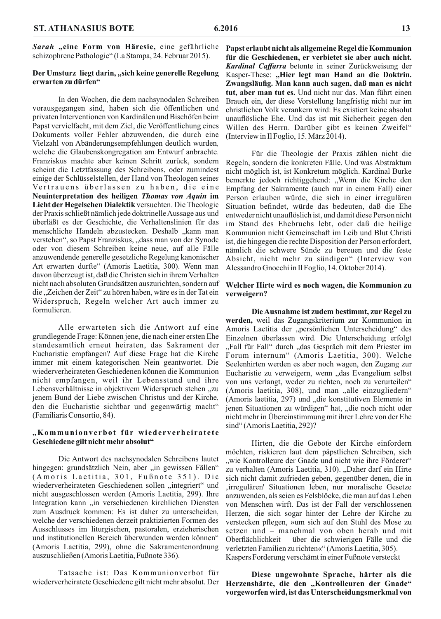Sarah "eine Form von Häresie, eine gefährliche schizophrene Pathologie" (La Stampa, 24. Februar 2015).

#### Der Umsturz liegt darin, "sich keine generelle Regelung erwarten zu dürfen"

In den Wochen, die dem nachsynodalen Schreiben vorausgegangen sind, haben sich die öffentlichen und privaten Interventionen von Kardinälen und Bischöfen beim Papst vervielfacht, mit dem Ziel, die Veröffentlichung eines Dokuments voller Fehler abzuwenden, die durch eine Vielzahl von Abänderungsempfehlungen deutlich wurden, welche die Glaubenskongregation am Entwurf anbrachte. Franziskus machte aber keinen Schritt zurück, sondern scheint die Letztfassung des Schreibens, oder zumindest einige der Schlüsselstellen, der Hand von Theologen seines Vertrauens überlassen zu haben, die eine Neuinterpretation des heiligen Thomas von Aquin im Licht der Hegelschen Dialektik versuchten. Die Theologie der Praxis schließt nämlich jede doktrinelle Aussage aus und überläßt es der Geschichte, die Verhaltenslinien für das menschliche Handeln abzustecken. Deshalb "kann man verstehen", so Papst Franziskus, "dass man von der Synode oder von diesem Schreiben keine neue, auf alle Fälle anzuwendende generelle gesetzliche Regelung kanonischer Art erwarten durfte" (Amoris Laetitia, 300). Wenn man davon überzeugt ist, daß die Christen sich in ihrem Verhalten nicht nach absoluten Grundsätzen auszurichten, sondern auf die "Zeichen der Zeit" zu hören haben, wäre es in der Tat ein Widerspruch, Regeln welcher Art auch immer zu formulieren.

Alle erwarteten sich die Antwort auf eine grundlegende Frage: Können jene, die nach einer ersten Ehe standesamtlich erneut heiraten, das Sakrament der Eucharistie empfangen? Auf diese Frage hat die Kirche immer mit einem kategorischen Nein geantwortet. Die wiederverheirateten Geschiedenen können die Kommunion nicht empfangen, weil ihr Lebensstand und ihre Lebensverhältnisse in objektivem Widerspruch stehen "zu jenem Bund der Liebe zwischen Christus und der Kirche, den die Eucharistie sichtbar und gegenwärtig macht" (Familiaris Consortio, 84).

#### "Kommunionverbot für wiederverheiratete Geschiedene gilt nicht mehr absolut"

Die Antwort des nachsynodalen Schreibens lautet hingegen: grundsätzlich Nein, aber "in gewissen Fällen" (Amoris Laetitia, 301, Fußnote 351). Die wiederverheirateten Geschiedenen sollen "integriert" und nicht ausgeschlossen werden (Amoris Laetitia, 299). Ihre Integration kann "in verschiedenen kirchlichen Diensten zum Ausdruck kommen: Es ist daher zu unterscheiden. welche der verschiedenen derzeit praktizierten Formen des Ausschlusses im liturgischen, pastoralen, erzieherischen und institutionellen Bereich überwunden werden können" (Amoris Laetitia, 299), ohne die Sakramentenordnung auszuschließen (Amoris Laetitia, Fußnote 336).

Tatsache ist: Das Kommunionverbot für wiederverheiratete Geschiedene gilt nicht mehr absolut. Der Papst erlaubt nicht als allgemeine Regel die Kommunion für die Geschiedenen, er verbietet sie aber auch nicht. Kardinal Caffarra betonte in seiner Zurückweisung der Kasper-These: "Hier legt man Hand an die Doktrin. Zwangsläufig. Man kann auch sagen, daß man es nicht tut, aber man tut es. Und nicht nur das. Man führt einen Brauch ein, der diese Vorstellung langfristig nicht nur im christlichen Volk verankern wird: Es existiert keine absolut unauflösliche Ehe. Und das ist mit Sicherheit gegen den Willen des Herrn. Darüber gibt es keinen Zweifel" (Interview in Il Foglio, 15. März 2014).

Für die Theologie der Praxis zählen nicht die Regeln, sondern die konkreten Fälle. Und was Abstraktum nicht möglich ist, ist Konkretum möglich. Kardinal Burke bemerkte jedoch richtiggehend: "Wenn die Kirche den Empfang der Sakramente (auch nur in einem Fall) einer Person erlauben würde, die sich in einer irregulären Situation befindet, würde das bedeuten, daß die Ehe entweder nicht unauflöslich ist, und damit diese Person nicht im Stand des Ehebruchs lebt, oder daß die heilige Kommunion nicht Gemeinschaft im Leib und Blut Christi ist, die hingegen die rechte Disposition der Person erfordert, nämlich die schwere Sünde zu bereuen und die feste Absicht, nicht mehr zu sündigen" (Interview von Alessandro Gnocchi in Il Foglio, 14. Oktober 2014).

#### Welcher Hirte wird es noch wagen, die Kommunion zu verweigern?

Die Ausnahme ist zudem bestimmt, zur Regel zu werden, weil das Zugangskriterium zur Kommunion in Amoris Laetitia der "persönlichen Unterscheidung" des Einzelnen überlassen wird. Die Unterscheidung erfolgt "Fall für Fall" durch "das Gespräch mit dem Priester im Forum internum" (Amoris Laetitia, 300). Welche Seelenhirten werden es aber noch wagen, den Zugang zur Eucharistie zu verweigern, wenn "das Evangelium selbst von uns verlangt, weder zu richten, noch zu verurteilen" (Amoris laetitia, 308), und man "alle einzugliedern" (Amoris laetitia, 297) und "die konstitutiven Elemente in jenen Situationen zu würdigen" hat, "die noch nicht oder nicht mehr in Übereinstimmung mit ihrer Lehre von der Ehe sind" (Amoris Laetitia, 292)?

Hirten, die die Gebote der Kirche einfordern möchten, riskieren laut dem päpstlichen Schreiben, sich "wie Kontrolleure der Gnade und nicht wie ihre Förderer" zu verhalten (Amoris Laetitia, 310). "Daher darf ein Hirte sich nicht damit zufrieden geben, gegenüber denen, die in irregulären' Situationen leben, nur moralische Gesetze anzuwenden, als seien es Felsblöcke, die man auf das Leben von Menschen wirft. Das ist der Fall der verschlossenen Herzen, die sich sogar hinter der Lehre der Kirche zu verstecken pflegen, »um sich auf den Stuhl des Mose zu setzen und – manchmal von oben herab und mit Oberflächlichkeit – über die schwierigen Fälle und die verletzten Familien zu richten«" (Amoris Laetitia, 305). Kaspers Forderung verschämt in einer Fußnote versteckt

Diese ungewohnte Sprache, härter als die Herzenshärte, die den "Kontrolleuren der Gnade" vorgeworfen wird, ist das Unterscheidungsmerkmal von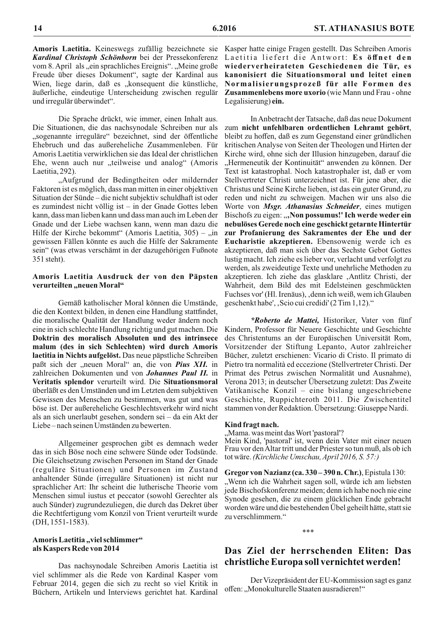Amoris Laetitia. Keineswegs zufällig bezeichnete sie Kardinal Christoph Schönborn bei der Pressekonferenz vom 8. April als "ein sprachliches Ereignis". "Meine große Freude über dieses Dokument", sagte der Kardinal aus Wien, liege darin, daß es "konsequent die künstliche, äußerliche, eindeutige Unterscheidung zwischen regulär und irregulär überwindet".

Die Sprache drückt, wie immer, einen Inhalt aus. Die Situationen, die das nachsynodale Schreiben nur als "sogenannte irreguläre" bezeichnet, sind der öffentliche Ehebruch und das außereheliche Zusammenleben. Für Amoris Laetitia verwirklichen sie das Ideal der christlichen Ehe, wenn auch nur "teilweise und analog" (Amoris Laetitia, 292).

"Aufgrund der Bedingtheiten oder mildernder Faktoren ist es möglich, dass man mitten in einer objektiven Situation der Sünde – die nicht subjektiv schuldhaft ist oder es zumindest nicht völlig ist  $-$  in der Gnade Gottes leben kann, dass man lieben kann und dass man auch im Leben der Gnade und der Liebe wachsen kann, wenn man dazu die Hilfe der Kirche bekommt" (Amoris Laetitia,  $305$ ) – "in gewissen Fällen könnte es auch die Hilfe der Sakramente sein" (was etwas verschämt in der dazugehörigen Fußnote 351 steht).

#### Amoris Laetitia Ausdruck der von den Päpsten verurteilten "neuen Moral"

Gemäß katholischer Moral können die Umstände, die den Kontext bilden, in denen eine Handlung stattfindet, die moralische Qualität der Handlung weder ändern noch eine in sich schlechte Handlung richtig und gut machen. Die Doktrin des moralisch Absoluten und des intrinsece malum (des in sich Schlechten) wird durch Amoris laetitia in Nichts aufgelöst. Das neue päpstliche Schreiben paßt sich der "neuen Moral" an, die von *Pius XII*. in zahlreichen Dokumenten und von Johannes Paul II. in Veritatis splendor verurteilt wird. Die Situationsmoral überläßt es den Umständen und im Letzten dem subjektiven Gewissen des Menschen zu bestimmen, was gut und was böse ist. Der außereheliche Geschlechtsverkehr wird nicht als an sich unerlaubt gesehen, sondern sei - da ein Akt der Liebe-nach seinen Umständen zu bewerten.

Allgemeiner gesprochen gibt es demnach weder das in sich Böse noch eine schwere Sünde oder Todsünde. Die Gleichsetzung zwischen Personen im Stand der Gnade (reguläre Situationen) und Personen im Zustand anhaltender Sünde (irreguläre Situationen) ist nicht nur sprachlicher Art: Ihr scheint die lutherische Theorie vom Menschen simul iustus et peccator (sowohl Gerechter als auch Sünder) zugrundezuliegen, die durch das Dekret über die Rechtfertigung vom Konzil von Trient verurteilt wurde  $(DH, 1551-1583).$ 

#### Amoris Laetitia "viel schlimmer" als Kaspers Rede von 2014

Das nachsynodale Schreiben Amoris Laetitia ist viel schlimmer als die Rede von Kardinal Kasper vom Februar 2014, gegen die sich zu recht so viel Kritik in Büchern, Artikeln und Interviews gerichtet hat. Kardinal

Kasper hatte einige Fragen gestellt. Das Schreiben Amoris Laetitia liefert die Antwort: Es öffnet den wiederverheirateten Geschiedenen die Tür, es kanonisiert die Situationsmoral und leitet einen Normalisierungsprozeß für alle Formen des **Zusammenlebens more uxorio** (wie Mann und Frau - ohne Legalisierung) ein.

In Anbetracht der Tatsache, daß das neue Dokument zum nicht unfehlbaren ordentlichen Lehramt gehört, bleibt zu hoffen, daß es zum Gegenstand einer gründlichen kritischen Analyse von Seiten der Theologen und Hirten der Kirche wird, ohne sich der Illusion hinzugeben, darauf die "Hermeneutik der Kontinuität" anwenden zu können. Der Text ist katastrophal. Noch katastrophaler ist, daß er vom Stellvertreter Christi unterzeichnet ist. Für jene aber, die Christus und Seine Kirche lieben, ist das ein guter Grund, zu reden und nicht zu schweigen. Machen wir uns also die Worte von *Msgr. Athanasius Schneider*, eines mutigen Bischofs zu eigen: "Non possumus! Ich werde weder ein nebulöses Gerede noch eine geschickt getarnte Hintertür zur Profanierung des Sakramentes der Ehe und der Eucharistie akzeptieren. Ebensowenig werde ich es akzeptieren, daß man sich über das Sechste Gebot Gottes lustig macht. Ich ziehe es lieber vor, verlacht und verfolgt zu werden, als zweideutige Texte und unehrliche Methoden zu akzeptieren. Ich ziehe das glasklare "Antlitz Christi, der Wahrheit, dem Bild des mit Edelsteinen geschmückten Fuchses vor' (Hl. Irenäus), , denn ich weiß, wem ich Glauben geschenkt habe', , Scio cui credidi' (2 Tim 1,12)."

\*Roberto de Mattei, Historiker, Vater von fünf Kindern, Professor für Neuere Geschichte und Geschichte des Christentums an der Europäischen Universität Rom, Vorsitzender der Stiftung Lepanto, Autor zahlreicher Bücher, zuletzt erschienen: Vicario di Cristo. Il primato di Pietro tra normalità ed eccezione (Stellvertreter Christi, Der Primat des Petrus zwischen Normalität und Ausnahme), Verona 2013; in deutscher Übersetzung zuletzt: Das Zweite Vatikanische Konzil – eine bislang ungeschriebene Geschichte, Ruppichteroth 2011. Die Zwischentitel stammen von der Redaktion. Übersetzung: Giuseppe Nardi.

#### Kind fragt nach.

"Mama. was meint das Wort 'pastoral'?

Mein Kind, 'pastoral' ist, wenn dein Vater mit einer neuen Frau vor den Altar tritt und der Priester so tun muß, als ob ich tot wäre. (Kirchliche Umschau, April 2016, S. 57:)

Gregor von Nazianz (ca. 330-390 n. Chr.), Epistula 130:

"Wenn ich die Wahrheit sagen soll, würde ich am liebsten jede Bischofskonferenz meiden; denn ich habe noch nie eine Synode gesehen, die zu einem glücklichen Ende gebracht worden wäre und die bestehenden Übel geheilt hätte, statt sie zu verschlimmern."

### Das Ziel der herrschenden Eliten: Das christliche Europa soll vernichtet werden!

\*\*\*

Der Vizepräsident der EU-Kommission sagt es ganz offen: "Monokulturelle Staaten ausradieren!"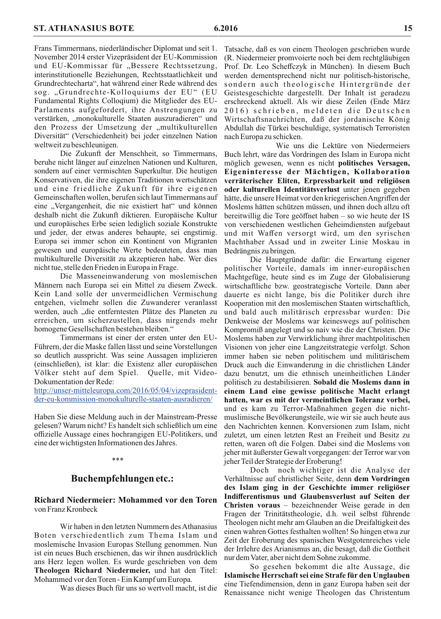Frans Timmermans, niederländischer Diplomat und seit 1. November 2014 erster Vizepräsident der EU-Kommission und EU-Kommissar für "Bessere Rechtssetzung, interinstitutionelle Beziehungen, Rechtsstaatlichkeit und Grundrechtecharta", hat während einer Rede während des sog. "Grundrechte-Kolloquiums der EU" (EU Fundamental Rights Colloqium) die Mitglieder des EU-Parlaments aufgefordert, ihre Anstrengungen zu verstärken, "monokulturelle Staaten auszuradieren" und den Prozess der Umsetzung der "multikulturellen Diversität" (Verschiedenheit) bei jeder einzelnen Nation weltweit zu beschleunigen.

Die Zukunft der Menschheit, so Timmermans, beruhe nicht länger auf einzelnen Nationen und Kulturen, sondern auf einer vermischten Superkultur. Die heutigen Konservativen, die ihre eigenen Traditionen wertschätzen und eine friedliche Zukunft für ihre eigenen Gemeinschaften wollen, berufen sich laut Timmermans auf eine "Vergangenheit, die nie existiert hat" und können deshalb nicht die Zukunft diktieren. Europäische Kultur und europäisches Erbe seien lediglich soziale Konstrukte und jeder, der etwas anderes behaupte, sei engstirnig. Europa sei immer schon ein Kontinent von Migranten gewesen und europäische Werte bedeuteten, dass man multikulturelle Diversität zu akzeptieren habe. Wer dies nicht tue, stelle den Frieden in Europa in Frage.

Die Masseneinwanderung von moslemischen Männern nach Europa sei ein Mittel zu diesem Zweck. Kein Land solle der unvermeidlichen Vermischung entgehen, vielmehr sollen die Zuwanderer veranlasst werden, auch "die entferntesten Plätze des Planeten zu erreichen, um sicherzustellen, dass nirgends mehr homogene Gesellschaften bestehen bleiben."

Timmermans ist einer der ersten unter den EU-Führern, der die Maske fallen lässt und seine Vorstellungen so deutlich ausspricht. Was seine Aussagen implizieren (einschließen), ist klar: die Existenz aller europäischen Völker steht auf dem Spiel. Quelle, mit Video-Dokumentation der Rede:

http://unser-mitteleuropa.com/2016/05/04/vizeprasidentder-eu-kommission-monokulturelle-staaten-ausradieren/

Haben Sie diese Meldung auch in der Mainstream-Presse gelesen? Warum nicht? Es handelt sich schließlich um eine offizielle Aussage eines hochrangigen EU-Politikers, und eine der wichtigsten Informationen des Jahres.

#### $***$

#### **Buchempfehlungen etc.:**

#### Richard Niedermeier: Mohammed vor den Toren von Franz Kronbeck

Wir haben in den letzten Nummern des Athanasius Boten verschiedentlich zum Thema Islam und moslemische Invasion Europas Stellung genommen. Nun ist ein neues Buch erschienen, das wir ihnen ausdrücklich ans Herz legen wollen. Es wurde geschrieben von dem Theologen Richard Niedermeier, und hat den Titel: Mohammed vor den Toren - Ein Kampf um Europa.

Was dieses Buch für uns so wertvoll macht, ist die

Tatsache, daß es von einem Theologen geschrieben wurde (R. Niedermeier promvoierte noch bei dem rechtgläubigen Prof. Dr. Leo Scheffczyk in München). In diesem Buch werden dementsprechend nicht nur politisch-historische, sondern auch theologische Hintergründe der Geistesgeschichte dargestellt. Der Inhalt ist geradezu erschreckend aktuell. Als wir diese Zeilen (Ende März 2016) schrieben, meldeten die Deutschen Wirtschaftsnachrichten, daß der jordanische König Abdullah die Türkei beschuldige, systematisch Terroristen nach Europa zu schicken.

Wie uns die Lektüre von Niedermeiers Buch lehrt, wäre das Vordringen des Islam in Europa nicht möglich gewesen, wenn es nicht politisches Versagen, Eigeninteresse der Mächtigen, Kollaboration verräterischer Eliten, Erpressbarkeit und religiösen oder kulturellen Identitätsverlust unter jenen gegeben hätte, die unsere Heimat vor den kriegerischen Angriffen der Moslems hätten schützen müssen, und ihnen doch allzu oft bereitwillig die Tore geöffnet haben – so wie heute der IS von verschiedenen westlichen Geheimdiensten aufgebaut und mit Waffen versorgt wird, um den syrischen Machthaber Assad und in zweiter Linie Moskau in Bedrängnis zu bringen.

Die Hauptgründe dafür: die Erwartung eigener politischer Vorteile, damals im inner-europäischen Machtgefüge, heute sind es im Zuge der Globalisierung wirtschaftliche bzw. geostrategische Vorteile. Dann aber dauerte es nicht lange, bis die Politiker durch ihre Kooperation mit den moslemischen Staaten wirtschaftlich, und bald auch militärisch erpressbar wurden: Die Denkweise der Moslems war keineswegs auf politischen Kompromiß angelegt und so naiv wie die der Christen. Die Moslems haben zur Verwirklichung ihrer machtpolitischen Visionen von jeher eine Langzeitstrategie verfolgt. Schon immer haben sie neben politischem und militärischem Druck auch die Einwanderung in die christlichen Länder dazu benutzt, um die ethnisch uneinheitlichen Länder politisch zu destabilisieren. Sobald die Moslems dann in einem Land eine gewisse politische Macht erlangt hatten, war es mit der vermeintlichen Toleranz vorbei, und es kam zu Terror-Maßnahmen gegen die nichtmuslimische Bevölkerungsteile, wie wir sie auch heute aus den Nachrichten kennen. Konversionen zum Islam, nicht zuletzt, um einen letzten Rest an Freiheit und Besitz zu retten, waren oft die Folgen. Dabei sind die Moslems von jeher mit äußerster Gewalt vorgegangen: der Terror war von jeher Teil der Strategie der Eroberung!

Doch noch wichtiger ist die Analyse der Verhältnisse auf christlicher Seite, denn dem Vordringen des Islam ging in der Geschichte immer religiöser Indifferentismus und Glaubensverlust auf Seiten der Christen voraus – bezeichnender Weise gerade in den Fragen der Trinitätstheologie, d.h. weil selbst führende Theologen nicht mehr am Glauben an die Dreifaltigkeit des einen wahren Gottes festhalten wollten! So hingen etwa zur Zeit der Eroberung des spanischen Westgotenreiches viele der Irrlehre des Arianismus an, die besagt, daß die Gottheit nur dem Vater, aber nicht dem Sohne zukomme.

So gesehen bekommt die alte Aussage, die Islamische Herrschaft sei eine Strafe für den Unglauben eine Tiefendimension, denn in ganz Europa haben seit der Renaissance nicht wenige Theologen das Christentum